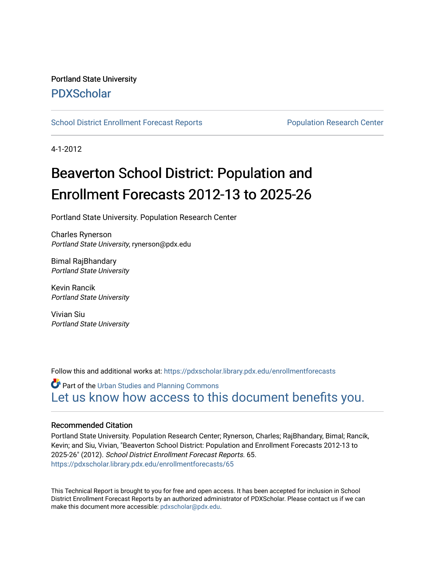### Portland State University [PDXScholar](https://pdxscholar.library.pdx.edu/)

[School District Enrollment Forecast Reports](https://pdxscholar.library.pdx.edu/enrollmentforecasts) **Population Research Center** Population Research Center

4-1-2012

# Beaverton School District: Population and Enrollment Forecasts 2012-13 to 2025-26

Portland State University. Population Research Center

Charles Rynerson Portland State University, rynerson@pdx.edu

Bimal RajBhandary Portland State University

Kevin Rancik Portland State University

Vivian Siu Portland State University

Follow this and additional works at: [https://pdxscholar.library.pdx.edu/enrollmentforecasts](https://pdxscholar.library.pdx.edu/enrollmentforecasts?utm_source=pdxscholar.library.pdx.edu%2Fenrollmentforecasts%2F65&utm_medium=PDF&utm_campaign=PDFCoverPages) 

**Part of the [Urban Studies and Planning Commons](http://network.bepress.com/hgg/discipline/436?utm_source=pdxscholar.library.pdx.edu%2Fenrollmentforecasts%2F65&utm_medium=PDF&utm_campaign=PDFCoverPages)** [Let us know how access to this document benefits you.](http://library.pdx.edu/services/pdxscholar-services/pdxscholar-feedback/?ref=https://pdxscholar.library.pdx.edu/enrollmentforecasts/65) 

#### Recommended Citation

Portland State University. Population Research Center; Rynerson, Charles; RajBhandary, Bimal; Rancik, Kevin; and Siu, Vivian, "Beaverton School District: Population and Enrollment Forecasts 2012-13 to 2025-26" (2012). School District Enrollment Forecast Reports. 65. [https://pdxscholar.library.pdx.edu/enrollmentforecasts/65](https://pdxscholar.library.pdx.edu/enrollmentforecasts/65?utm_source=pdxscholar.library.pdx.edu%2Fenrollmentforecasts%2F65&utm_medium=PDF&utm_campaign=PDFCoverPages)

This Technical Report is brought to you for free and open access. It has been accepted for inclusion in School District Enrollment Forecast Reports by an authorized administrator of PDXScholar. Please contact us if we can make this document more accessible: [pdxscholar@pdx.edu.](mailto:pdxscholar@pdx.edu)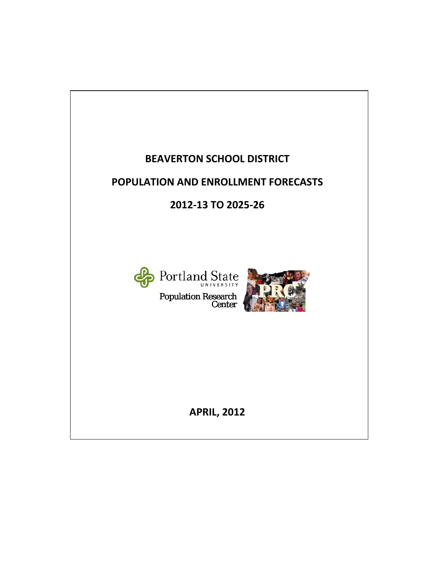# **BEAVERTON SCHOOL DISTRICT**

## **POPULATION AND ENROLLMENT FORECASTS**

**2012‐13 TO 2025‐26**



Population Research Center



**APRIL, 2012**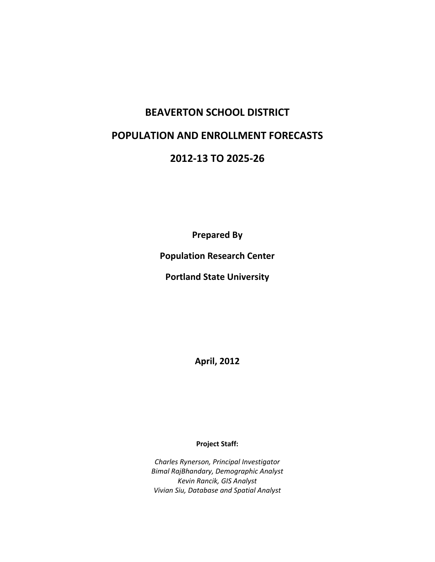### **BEAVERTON SCHOOL DISTRICT**

### **POPULATION AND ENROLLMENT FORECASTS**

### **2012‐13 TO 2025‐26**

**Prepared By**

**Population Research Center**

**Portland State University**

**April, 2012**

**Project Staff:**

*Charles Rynerson, Principal Investigator Bimal RajBhandary, Demographic Analyst Kevin Rancik, GIS Analyst Vivian Siu, Database and Spatial Analyst*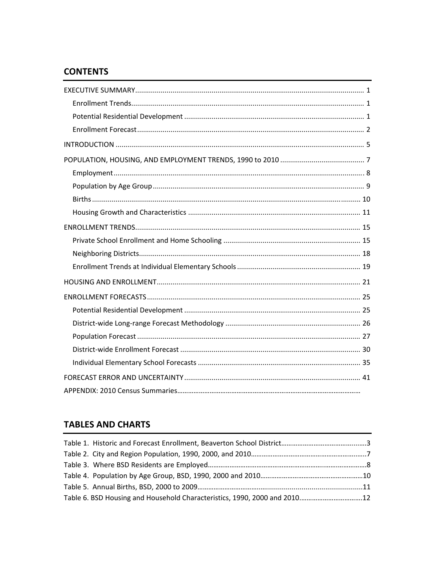### **CONTENTS**

### **TABLES AND CHARTS**

| Table 6. BSD Housing and Household Characteristics, 1990, 2000 and 201012 |  |
|---------------------------------------------------------------------------|--|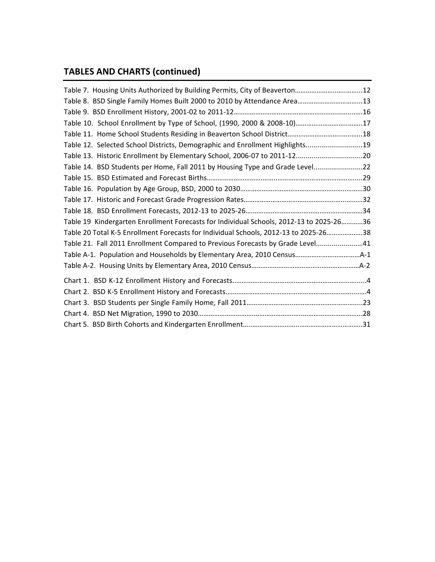# **TABLES AND CHARTS (continued)**

| Table 7. Housing Units Authorized by Building Permits, City of Beaverton12              |  |
|-----------------------------------------------------------------------------------------|--|
| Table 8. BSD Single Family Homes Built 2000 to 2010 by Attendance Area13                |  |
|                                                                                         |  |
| Table 10. School Enrollment by Type of School, (1990, 2000 & 2008-10)17                 |  |
|                                                                                         |  |
| Table 12. Selected School Districts, Demographic and Enrollment Highlights19            |  |
| Table 13. Historic Enrollment by Elementary School, 2006-07 to 2011-1220                |  |
| Table 14. BSD Students per Home, Fall 2011 by Housing Type and Grade Level22            |  |
|                                                                                         |  |
|                                                                                         |  |
|                                                                                         |  |
|                                                                                         |  |
| Table 19 Kindergarten Enrollment Forecasts for Individual Schools, 2012-13 to 2025-2636 |  |
| Table 20 Total K-5 Enrollment Forecasts for Individual Schools, 2012-13 to 2025-2638    |  |
| Table 21. Fall 2011 Enrollment Compared to Previous Forecasts by Grade Level41          |  |
|                                                                                         |  |
|                                                                                         |  |
|                                                                                         |  |
|                                                                                         |  |
|                                                                                         |  |
|                                                                                         |  |
|                                                                                         |  |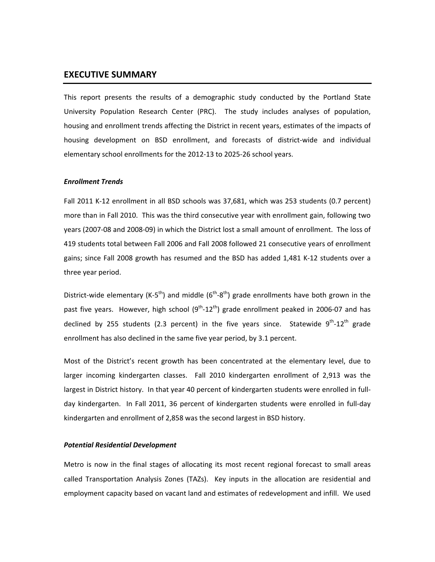#### **EXECUTIVE SUMMARY**

This report presents the results of a demographic study conducted by the Portland State University Population Research Center (PRC). The study includes analyses of population, housing and enrollment trends affecting the District in recent years, estimates of the impacts of housing development on BSD enrollment, and forecasts of district-wide and individual elementary school enrollments for the 2012‐13 to 2025‐26 school years.

#### *Enrollment Trends*

Fall 2011 K-12 enrollment in all BSD schools was 37,681, which was 253 students (0.7 percent) more than in Fall 2010. This was the third consecutive year with enrollment gain, following two years (2007‐08 and 2008‐09) in which the District lost a small amount of enrollment. The loss of 419 students total between Fall 2006 and Fall 2008 followed 21 consecutive years of enrollment gains; since Fall 2008 growth has resumed and the BSD has added 1,481 K‐12 students over a three year period.

District-wide elementary (K-5<sup>th</sup>) and middle ( $6<sup>th</sup>-8<sup>th</sup>$ ) grade enrollments have both grown in the past five years. However, high school  $(9^{th} - 12^{th})$  grade enrollment peaked in 2006-07 and has declined by 255 students (2.3 percent) in the five years since. Statewide  $9^{th}$ -12<sup>th</sup> grade enrollment has also declined in the same five year period, by 3.1 percent.

Most of the District's recent growth has been concentrated at the elementary level, due to larger incoming kindergarten classes. Fall 2010 kindergarten enrollment of 2,913 was the largest in District history. In that year 40 percent of kindergarten students were enrolled in full‐ day kindergarten. In Fall 2011, 36 percent of kindergarten students were enrolled in full-day kindergarten and enrollment of 2,858 was the second largest in BSD history.

#### *Potential Residential Development*

Metro is now in the final stages of allocating its most recent regional forecast to small areas called Transportation Analysis Zones (TAZs). Key inputs in the allocation are residential and employment capacity based on vacant land and estimates of redevelopment and infill. We used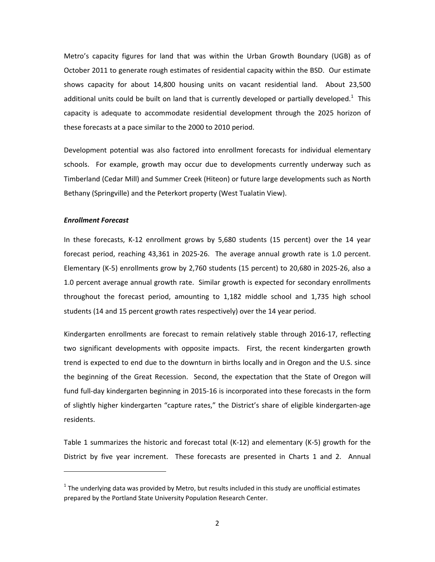Metro's capacity figures for land that was within the Urban Growth Boundary (UGB) as of October 2011 to generate rough estimates of residential capacity within the BSD. Our estimate shows capacity for about 14,800 housing units on vacant residential land. About 23,500 additional units could be built on land that is currently developed or partially developed.<sup>1</sup> This capacity is adequate to accommodate residential development through the 2025 horizon of these forecasts at a pace similar to the 2000 to 2010 period.

Development potential was also factored into enrollment forecasts for individual elementary schools. For example, growth may occur due to developments currently underway such as Timberland (Cedar Mill) and Summer Creek (Hiteon) or future large developments such as North Bethany (Springville) and the Peterkort property (West Tualatin View).

#### *Enrollment Forecast*

In these forecasts, K‐12 enrollment grows by 5,680 students (15 percent) over the 14 year forecast period, reaching 43,361 in 2025-26. The average annual growth rate is 1.0 percent. Elementary (K‐5) enrollments grow by 2,760 students (15 percent) to 20,680 in 2025‐26, also a 1.0 percent average annual growth rate. Similar growth is expected for secondary enrollments throughout the forecast period, amounting to 1,182 middle school and 1,735 high school students (14 and 15 percent growth rates respectively) over the 14 year period.

Kindergarten enrollments are forecast to remain relatively stable through 2016‐17, reflecting two significant developments with opposite impacts. First, the recent kindergarten growth trend is expected to end due to the downturn in births locally and in Oregon and the U.S. since the beginning of the Great Recession. Second, the expectation that the State of Oregon will fund full‐day kindergarten beginning in 2015‐16 is incorporated into these forecasts in the form of slightly higher kindergarten "capture rates," the District's share of eligible kindergarten‐age residents.

Table 1 summarizes the historic and forecast total (K‐12) and elementary (K‐5) growth for the District by five year increment. These forecasts are presented in Charts 1 and 2. Annual

 $1$  The underlying data was provided by Metro, but results included in this study are unofficial estimates prepared by the Portland State University Population Research Center.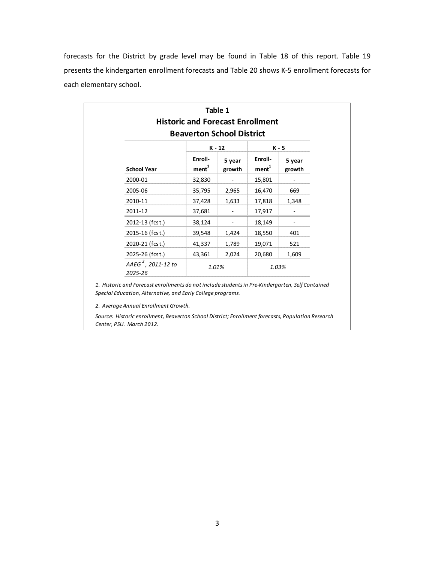forecasts for the District by grade level may be found in Table 18 of this report. Table 19 presents the kindergarten enrollment forecasts and Table 20 shows K‐5 enrollment forecasts for each elementary school.

|                                           | <b>Historic and Forecast Enrollment</b><br><b>Beaverton School District</b> | Table 1                      |                              |                           |
|-------------------------------------------|-----------------------------------------------------------------------------|------------------------------|------------------------------|---------------------------|
| <b>School Year</b>                        | Enroll-<br>ment <sup>1</sup>                                                | $K - 12$<br>5 year<br>growth | Enroll-<br>ment <sup>1</sup> | K - 5<br>5 year<br>growth |
| 2000-01                                   | 32,830                                                                      |                              | 15,801                       |                           |
| 2005-06                                   | 35,795                                                                      | 2,965                        | 16,470                       | 669                       |
| 2010-11                                   | 37,428                                                                      | 1,633                        | 17,818                       | 1,348                     |
| 2011-12                                   | 37,681                                                                      | ۰.                           | 17,917                       |                           |
| 2012-13 (fcst.)                           | 38,124                                                                      |                              | 18,149                       |                           |
| 2015-16 (fcst.)                           | 39,548                                                                      | 1,424                        | 18,550                       | 401                       |
| 2020-21 (fcst.)                           | 41,337                                                                      | 1,789                        | 19,071                       | 521                       |
| 2025-26 (fcst.)                           | 43,361                                                                      | 2,024                        | 20,680                       | 1,609                     |
| AAEG <sup>2</sup> , 2011-12 to<br>2025-26 | 1.01%                                                                       |                              |                              | 1.03%                     |

*1. Historic and Forecast enrollments do not include studentsin Pre‐Kindergarten, Self Contained Special Education, Alternative, and Early College programs.*

*2. Average Annual Enrollment Growth.*

*Source: Historic enrollment, Beaverton School District; Enrollment forecasts, Population Research Center, PSU. March 2012.*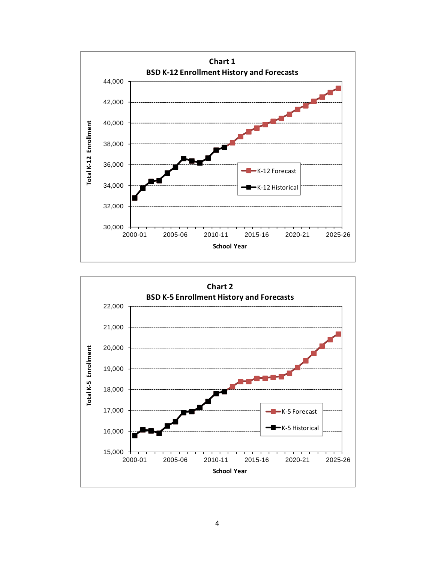

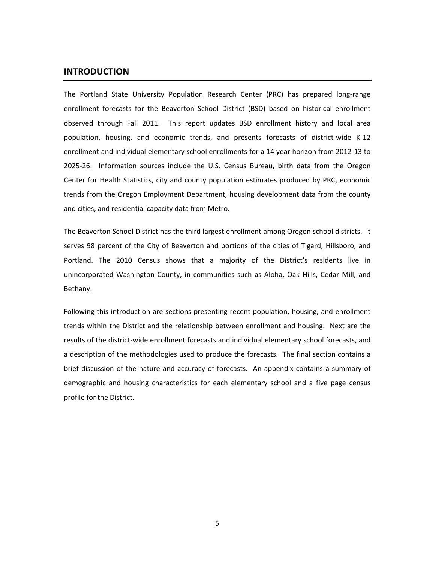#### **INTRODUCTION**

The Portland State University Population Research Center (PRC) has prepared long-range enrollment forecasts for the Beaverton School District (BSD) based on historical enrollment observed through Fall 2011. This report updates BSD enrollment history and local area population, housing, and economic trends, and presents forecasts of district-wide K-12 enrollment and individual elementary school enrollments for a 14 year horizon from 2012‐13 to 2025-26. Information sources include the U.S. Census Bureau, birth data from the Oregon Center for Health Statistics, city and county population estimates produced by PRC, economic trends from the Oregon Employment Department, housing development data from the county and cities, and residential capacity data from Metro.

The Beaverton School District has the third largest enrollment among Oregon school districts. It serves 98 percent of the City of Beaverton and portions of the cities of Tigard, Hillsboro, and Portland. The 2010 Census shows that a majority of the District's residents live in unincorporated Washington County, in communities such as Aloha, Oak Hills, Cedar Mill, and Bethany.

Following this introduction are sections presenting recent population, housing, and enrollment trends within the District and the relationship between enrollment and housing. Next are the results of the district-wide enrollment forecasts and individual elementary school forecasts, and a description of the methodologies used to produce the forecasts. The final section contains a brief discussion of the nature and accuracy of forecasts. An appendix contains a summary of demographic and housing characteristics for each elementary school and a five page census profile for the District.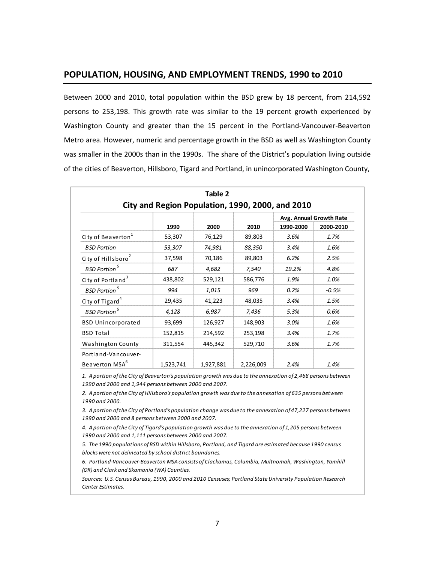#### **POPULATION, HOUSING, AND EMPLOYMENT TRENDS, 1990 to 2010**

Between 2000 and 2010, total population within the BSD grew by 18 percent, from 214,592 persons to 253,198. This growth rate was similar to the 19 percent growth experienced by Washington County and greater than the 15 percent in the Portland‐Vancouver‐Beaverton Metro area. However, numeric and percentage growth in the BSD as well as Washington County was smaller in the 2000s than in the 1990s. The share of the District's population living outside of the cities of Beaverton, Hillsboro, Tigard and Portland, in unincorporated Washington County,

| Table 2<br>City and Region Population, 1990, 2000, and 2010 |                         |           |           |           |           |  |  |  |  |  |
|-------------------------------------------------------------|-------------------------|-----------|-----------|-----------|-----------|--|--|--|--|--|
|                                                             | Avg. Annual Growth Rate |           |           |           |           |  |  |  |  |  |
|                                                             | 1990                    | 2000      | 2010      | 1990-2000 | 2000-2010 |  |  |  |  |  |
| City of Beaverton <sup>1</sup>                              | 53,307                  | 76,129    | 89,803    | 3.6%      | 1.7%      |  |  |  |  |  |
| <b>BSD Portion</b>                                          | 53,307                  | 74,981    | 88,350    | 3.4%      | 1.6%      |  |  |  |  |  |
| City of Hillsboro <sup>2</sup>                              | 37,598                  | 70,186    | 89,803    | 6.2%      | 2.5%      |  |  |  |  |  |
| <b>BSD Portion</b> <sup>5</sup>                             | 687                     | 4,682     | 7,540     | 19.2%     | 4.8%      |  |  |  |  |  |
| City of Portland <sup>3</sup>                               | 438,802                 | 529,121   | 586,776   | 1.9%      | 1.0%      |  |  |  |  |  |
| <b>BSD Portion</b> <sup>5</sup>                             | 994                     | 1,015     | 969       | 0.2%      | $-0.5%$   |  |  |  |  |  |
| City of Tigard <sup>4</sup>                                 | 29,435                  | 41,223    | 48,035    | 3.4%      | 1.5%      |  |  |  |  |  |
| <b>BSD Portion</b> <sup>5</sup>                             | 4,128                   | 6,987     | 7,436     | 5.3%      | 0.6%      |  |  |  |  |  |
| <b>BSD Unincorporated</b>                                   | 93,699                  | 126,927   | 148,903   | 3.0%      | 1.6%      |  |  |  |  |  |
| <b>BSD Total</b>                                            | 152,815                 | 214,592   | 253,198   | 3.4%      | 1.7%      |  |  |  |  |  |
| Washington County                                           | 311,554                 | 445,342   | 529,710   | 3.6%      | 1.7%      |  |  |  |  |  |
| Portland-Vancouver-                                         |                         |           |           |           |           |  |  |  |  |  |
| Beaverton MSA <sup>6</sup>                                  | 1,523,741               | 1,927,881 | 2,226,009 | 2.4%      | 1.4%      |  |  |  |  |  |

1. A portion of the City of Beaverton's population growth was due to the annexation of 2,468 persons between *1990 and 2000 and 1,944 persons between 2000 and 2007.*

2. A portion of the City of Hillsboro's population growth was due to the annexation of 635 persons between *1990 and 2000.*

3. A portion of the City of Portland's population change was due to the annexation of 47,227 persons between *1990 and 2000 and 8 persons between 2000 and 2007.*

4. A portion of the City of Tigard's population growth was due to the annexation of 1,205 persons between *1990 and 2000 and 1,111 persons between 2000 and 2007.*

*5. The 1990 populations of BSD within Hillsboro, Portland, and Tigard are estimated because 1990 census blocks were not delineated by school district boundaries.*

*6. Portland‐Vancouver‐Beaverton MSA consists of Clackamas, Columbia, Multnomah, Washington, Yamhill (OR) and Clark and Skamania (WA) Counties.*

*Sources: U.S. Census Bureau, 1990, 2000 and 2010 Censuses; Portland StateUniversity Population Research Center Estimates.*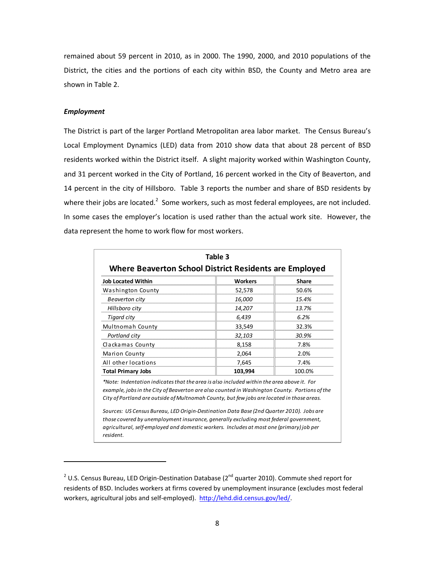remained about 59 percent in 2010, as in 2000. The 1990, 2000, and 2010 populations of the District, the cities and the portions of each city within BSD, the County and Metro area are shown in Table 2.

#### *Employment*

The District is part of the larger Portland Metropolitan area labor market. The Census Bureau's Local Employment Dynamics (LED) data from 2010 show data that about 28 percent of BSD residents worked within the District itself. A slight majority worked within Washington County, and 31 percent worked in the City of Portland, 16 percent worked in the City of Beaverton, and 14 percent in the city of Hillsboro. Table 3 reports the number and share of BSD residents by where their jobs are located.<sup>2</sup> Some workers, such as most federal employees, are not included. In some cases the employer's location is used rather than the actual work site. However, the data represent the home to work flow for most workers.

| Table 3<br>Where Beaverton School District Residents are Employed |                |              |  |  |  |  |  |
|-------------------------------------------------------------------|----------------|--------------|--|--|--|--|--|
| <b>Job Located Within</b>                                         | <b>Workers</b> | <b>Share</b> |  |  |  |  |  |
| Washington County                                                 | 52,578         | 50.6%        |  |  |  |  |  |
| Beaverton city                                                    | 16,000         | 15.4%        |  |  |  |  |  |
| Hillsboro city                                                    | 14,207         | 13.7%        |  |  |  |  |  |
| Tigard city                                                       | 6,439          | 6.2%         |  |  |  |  |  |
| Multnomah County                                                  | 33,549         | 32.3%        |  |  |  |  |  |
| Portland city                                                     | 32,103         | 30.9%        |  |  |  |  |  |
| Clackamas County                                                  | 8,158          | 7.8%         |  |  |  |  |  |
| <b>Marion County</b>                                              | 2,064          | 2.0%         |  |  |  |  |  |
| All other locations                                               | 7,645          | 7.4%         |  |  |  |  |  |
| <b>Total Primary Jobs</b>                                         | 103,994        | 100.0%       |  |  |  |  |  |

*\*Note: Indentation indicatesthat the area is also included within the area above it. For example, jobsin the City of Beaverton are also counted in Washington County. Portions ofthe City of Portland are outside of Multnomah County, but few jobs are located in those areas.*

*Sources: US Census Bureau, LED Origin‐Destination Data Base (2nd Quarter 2010). Jobs are those covered by unemployment insurance, generally excluding most federal government, agricultural, self‐employed and domestic workers. Includes at most one (primary)job per resident.*

<sup>&</sup>lt;sup>2</sup> U.S. Census Bureau, LED Origin-Destination Database (2<sup>nd</sup> quarter 2010). Commute shed report for residents of BSD. Includes workers at firms covered by unemployment insurance (excludes most federal workers, agricultural jobs and self‐employed). http://lehd.did.census.gov/led/.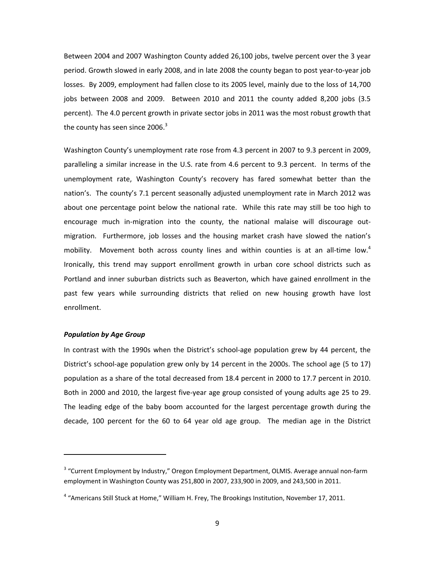Between 2004 and 2007 Washington County added 26,100 jobs, twelve percent over the 3 year period. Growth slowed in early 2008, and in late 2008 the county began to post year‐to‐year job losses. By 2009, employment had fallen close to its 2005 level, mainly due to the loss of 14,700 jobs between 2008 and 2009. Between 2010 and 2011 the county added 8,200 jobs (3.5 percent). The 4.0 percent growth in private sector jobs in 2011 was the most robust growth that the county has seen since 2006.<sup>3</sup>

Washington County's unemployment rate rose from 4.3 percent in 2007 to 9.3 percent in 2009, paralleling a similar increase in the U.S. rate from 4.6 percent to 9.3 percent. In terms of the unemployment rate, Washington County's recovery has fared somewhat better than the nation's. The county's 7.1 percent seasonally adjusted unemployment rate in March 2012 was about one percentage point below the national rate. While this rate may still be too high to encourage much in-migration into the county, the national malaise will discourage outmigration. Furthermore, job losses and the housing market crash have slowed the nation's mobility. Movement both across county lines and within counties is at an all-time low.<sup>4</sup> Ironically, this trend may support enrollment growth in urban core school districts such as Portland and inner suburban districts such as Beaverton, which have gained enrollment in the past few years while surrounding districts that relied on new housing growth have lost enrollment.

#### *Population by Age Group*

In contrast with the 1990s when the District's school‐age population grew by 44 percent, the District's school-age population grew only by 14 percent in the 2000s. The school age (5 to 17) population as a share of the total decreased from 18.4 percent in 2000 to 17.7 percent in 2010. Both in 2000 and 2010, the largest five‐year age group consisted of young adults age 25 to 29. The leading edge of the baby boom accounted for the largest percentage growth during the decade, 100 percent for the 60 to 64 year old age group. The median age in the District

<sup>&</sup>lt;sup>3</sup> "Current Employment by Industry," Oregon Employment Department, OLMIS. Average annual non-farm employment in Washington County was 251,800 in 2007, 233,900 in 2009, and 243,500 in 2011.

 $4$  "Americans Still Stuck at Home," William H. Frey, The Brookings Institution, November 17, 2011.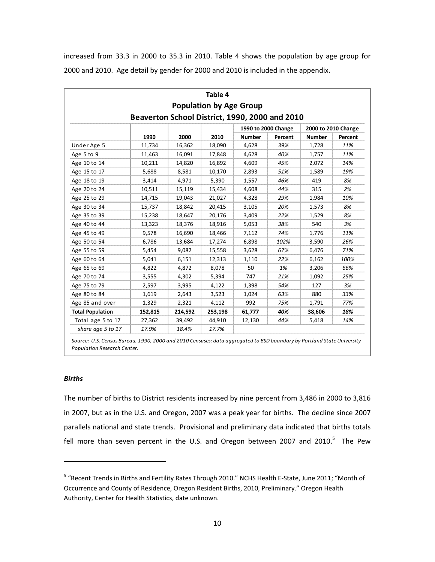increased from 33.3 in 2000 to 35.3 in 2010. Table 4 shows the population by age group for 2000 and 2010. Age detail by gender for 2000 and 2010 is included in the appendix.

|                         |                                                |         | Table 4                        |               |                     |               |                     |  |  |
|-------------------------|------------------------------------------------|---------|--------------------------------|---------------|---------------------|---------------|---------------------|--|--|
|                         |                                                |         | <b>Population by Age Group</b> |               |                     |               |                     |  |  |
|                         | Beaverton School District, 1990, 2000 and 2010 |         |                                |               |                     |               |                     |  |  |
|                         |                                                |         |                                |               | 1990 to 2000 Change |               | 2000 to 2010 Change |  |  |
|                         | 1990                                           | 2000    | 2010                           | <b>Number</b> | Percent             | <b>Number</b> | Percent             |  |  |
| Under Age 5             | 11,734                                         | 16,362  | 18,090                         | 4,628         | 39%                 | 1,728         | 11%                 |  |  |
| Age 5 to 9              | 11,463                                         | 16,091  | 17,848                         | 4,628         | 40%                 | 1,757         | 11%                 |  |  |
| Age 10 to 14            | 10,211                                         | 14,820  | 16,892                         | 4,609         | 45%                 | 2,072         | 14%                 |  |  |
| Age 15 to 17            | 5,688                                          | 8,581   | 10,170                         | 2,893         | 51%                 | 1,589         | 19%                 |  |  |
| Age 18 to 19            | 3,414                                          | 4,971   | 5,390                          | 1,557         | 46%                 | 419           | 8%                  |  |  |
| Age 20 to 24            | 10,511                                         | 15,119  | 15,434                         | 4,608         | 44%                 | 315           | 2%                  |  |  |
| Age 25 to 29            | 14,715                                         | 19,043  | 21,027                         | 4,328         | 29%                 | 1,984         | 10%                 |  |  |
| Age 30 to 34            | 15,737                                         | 18,842  | 20,415                         | 3,105         | 20%                 | 1,573         | 8%                  |  |  |
| Age 35 to 39            | 15,238                                         | 18,647  | 20,176                         | 3,409         | 22%                 | 1,529         | 8%                  |  |  |
| Age 40 to 44            | 13,323                                         | 18,376  | 18,916                         | 5,053         | 38%                 | 540           | 3%                  |  |  |
| Age 45 to 49            | 9,578                                          | 16,690  | 18,466                         | 7,112         | 74%                 | 1,776         | 11%                 |  |  |
| Age 50 to 54            | 6,786                                          | 13,684  | 17,274                         | 6,898         | 102%                | 3,590         | 26%                 |  |  |
| Age 55 to 59            | 5,454                                          | 9,082   | 15,558                         | 3,628         | 67%                 | 6,476         | 71%                 |  |  |
| Age 60 to 64            | 5,041                                          | 6,151   | 12,313                         | 1,110         | 22%                 | 6,162         | 100%                |  |  |
| Age 65 to 69            | 4,822                                          | 4,872   | 8,078                          | 50            | 1%                  | 3,206         | 66%                 |  |  |
| Age 70 to 74            | 3,555                                          | 4,302   | 5,394                          | 747           | 21%                 | 1,092         | 25%                 |  |  |
| Age 75 to 79            | 2,597                                          | 3,995   | 4,122                          | 1,398         | 54%                 | 127           | 3%                  |  |  |
| Age 80 to 84            | 1,619                                          | 2,643   | 3,523                          | 1,024         | 63%                 | 880           | 33%                 |  |  |
| Age 85 and over         | 1,329                                          | 2,321   | 4,112                          | 992           | 75%                 | 1,791         | 77%                 |  |  |
| <b>Total Population</b> | 152,815                                        | 214,592 | 253,198                        | 61,777        | 40%                 | 38,606        | 18%                 |  |  |
| Total age 5 to 17       | 27,362                                         | 39,492  | 44,910                         | 12,130        | 44%                 | 5,418         | 14%                 |  |  |
| share age 5 to 17       | 17.9%                                          | 18.4%   | 17.7%                          |               |                     |               |                     |  |  |

Source: U.S. Census Bureau, 1990, 2000 and 2010 Censuses; data aggregated to BSD boundary by Portland State University *Population Research Center.*

#### *Births*

The number of births to District residents increased by nine percent from 3,486 in 2000 to 3,816 in 2007, but as in the U.S. and Oregon, 2007 was a peak year for births. The decline since 2007 parallels national and state trends. Provisional and preliminary data indicated that births totals fell more than seven percent in the U.S. and Oregon between 2007 and 2010. $5$  The Pew

<sup>5</sup> "Recent Trends in Births and Fertility Rates Through 2010." NCHS Health E‐State, June 2011; "Month of Occurrence and County of Residence, Oregon Resident Births, 2010, Preliminary." Oregon Health Authority, Center for Health Statistics, date unknown.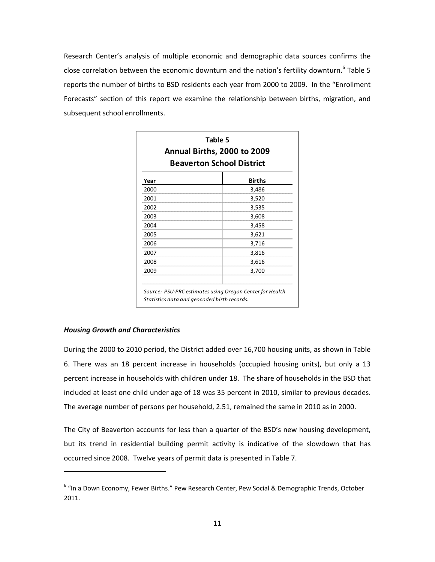Research Center's analysis of multiple economic and demographic data sources confirms the close correlation between the economic downturn and the nation's fertility downturn.<sup>6</sup> Table 5 reports the number of births to BSD residents each year from 2000 to 2009. In the "Enrollment Forecasts" section of this report we examine the relationship between births, migration, and subsequent school enrollments.

| Table 5<br>Annual Births, 2000 to 2009<br><b>Beaverton School District</b> |               |  |  |  |  |
|----------------------------------------------------------------------------|---------------|--|--|--|--|
| Year                                                                       | <b>Births</b> |  |  |  |  |
| 2000                                                                       | 3,486         |  |  |  |  |
| 2001                                                                       | 3,520         |  |  |  |  |
| 2002                                                                       | 3,535         |  |  |  |  |
| 2003                                                                       | 3,608         |  |  |  |  |
| 2004                                                                       | 3,458         |  |  |  |  |
| 2005                                                                       | 3,621         |  |  |  |  |
| 2006                                                                       | 3,716         |  |  |  |  |
| 2007                                                                       | 3,816         |  |  |  |  |
| 2008                                                                       | 3,616         |  |  |  |  |
| 2009                                                                       | 3,700         |  |  |  |  |

*Source: PSU‐PRC estimates using Oregon Center for Health Statistics data and geocoded birth records.*

#### *Housing Growth and Characteristics*

During the 2000 to 2010 period, the District added over 16,700 housing units, as shown in Table 6. There was an 18 percent increase in households (occupied housing units), but only a 13 percent increase in households with children under 18. The share of households in the BSD that included at least one child under age of 18 was 35 percent in 2010, similar to previous decades. The average number of persons per household, 2.51, remained the same in 2010 as in 2000.

The City of Beaverton accounts for less than a quarter of the BSD's new housing development, but its trend in residential building permit activity is indicative of the slowdown that has occurred since 2008. Twelve years of permit data is presented in Table 7.

<sup>&</sup>lt;sup>6</sup> "In a Down Economy, Fewer Births." Pew Research Center, Pew Social & Demographic Trends, October 2011.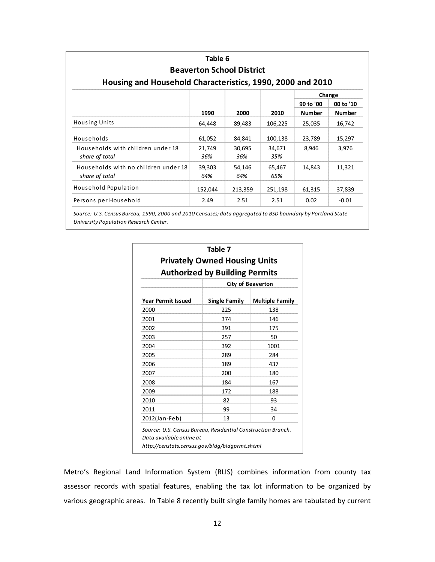| Table 6<br><b>Beaverton School District</b><br>Housing and Household Characteristics, 1990, 2000 and 2010 |               |               |               |               |               |  |  |  |  |  |
|-----------------------------------------------------------------------------------------------------------|---------------|---------------|---------------|---------------|---------------|--|--|--|--|--|
|                                                                                                           |               |               |               |               | Change        |  |  |  |  |  |
|                                                                                                           |               |               |               | 90 to '00     | 00 to '10     |  |  |  |  |  |
|                                                                                                           | 1990          | 2000          | 2010          | <b>Number</b> | <b>Number</b> |  |  |  |  |  |
| <b>Housing Units</b>                                                                                      | 64,448        | 89,483        | 106,225       | 25,035        | 16,742        |  |  |  |  |  |
| Households                                                                                                | 61,052        | 84,841        | 100,138       | 23,789        | 15,297        |  |  |  |  |  |
| Households with children under 18<br>share of total                                                       | 21,749<br>36% | 30,695<br>36% | 34,671<br>35% | 8,946         | 3,976         |  |  |  |  |  |
| Households with no children under 18<br>share of total                                                    | 39,303<br>64% | 54,146<br>64% | 65,467<br>65% | 14,843        | 11,321        |  |  |  |  |  |
| Household Population                                                                                      | 152,044       | 213,359       | 251,198       | 61,315        | 37,839        |  |  |  |  |  |
| Persons per Household                                                                                     | 2.49          | 2.51          | 2.51          | 0.02          | $-0.01$       |  |  |  |  |  |

Source: U.S. Census Bureau, 1990, 2000 and 2010 Censuses; data aggregated to BSD boundary by Portland State *University Population Research Center.*

| <b>Privately Owned Housing Units</b><br><b>Authorized by Building Permits</b> |                      |                        |  |  |  |  |  |  |  |
|-------------------------------------------------------------------------------|----------------------|------------------------|--|--|--|--|--|--|--|
|                                                                               |                      |                        |  |  |  |  |  |  |  |
| <b>Year Permit Issued</b>                                                     | <b>Single Family</b> | <b>Multiple Family</b> |  |  |  |  |  |  |  |
| 2000                                                                          | 225                  | 138                    |  |  |  |  |  |  |  |
| 2001                                                                          | 374                  | 146                    |  |  |  |  |  |  |  |
| 2002                                                                          | 391                  | 175                    |  |  |  |  |  |  |  |
| 2003                                                                          | 257                  | 50                     |  |  |  |  |  |  |  |
| 2004                                                                          | 392                  | 1001                   |  |  |  |  |  |  |  |
| 2005                                                                          | 289                  | 284                    |  |  |  |  |  |  |  |
| 2006                                                                          | 189                  | 437                    |  |  |  |  |  |  |  |
| 2007                                                                          | 200                  | 180                    |  |  |  |  |  |  |  |
| 2008                                                                          | 184                  | 167                    |  |  |  |  |  |  |  |
| 2009                                                                          | 172                  | 188                    |  |  |  |  |  |  |  |
| 2010                                                                          | 82                   | 93                     |  |  |  |  |  |  |  |
| 2011                                                                          | 99                   | 34                     |  |  |  |  |  |  |  |
| 2012(Jan-Feb)                                                                 | 13                   | 0                      |  |  |  |  |  |  |  |

Metro's Regional Land Information System (RLIS) combines information from county tax assessor records with spatial features, enabling the tax lot information to be organized by various geographic areas. In Table 8 recently built single family homes are tabulated by current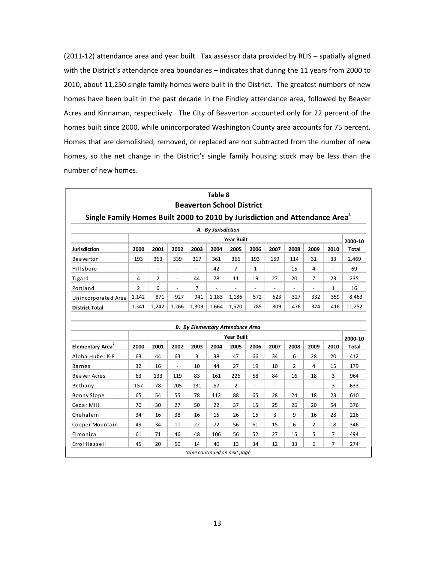(2011-12) attendance area and year built. Tax assessor data provided by RLIS - spatially aligned with the District's attendance area boundaries - indicates that during the 11 years from 2000 to 2010, about 11,250 single family homes were built in the District. The greatest numbers of new homes have been built in the past decade in the Findley attendance area, followed by Beaver Acres and Kinnaman, respectively. The City of Beaverton accounted only for 22 percent of the homes built since 2000, while unincorporated Washington County area accounts for 75 percent. Homes that are demolished, removed, or replaced are not subtracted from the number of new homes, so the net change in the District's single family housing stock may be less than the number of new homes.

|                                                                                         |                |                          |                          |                | Table 8            | <b>Beaverton School District</b>                             |                          |                          |                |                          |                             |         |
|-----------------------------------------------------------------------------------------|----------------|--------------------------|--------------------------|----------------|--------------------|--------------------------------------------------------------|--------------------------|--------------------------|----------------|--------------------------|-----------------------------|---------|
| Single Family Homes Built 2000 to 2010 by Jurisdiction and Attendance Area <sup>1</sup> |                |                          |                          |                |                    |                                                              |                          |                          |                |                          |                             |         |
|                                                                                         |                |                          |                          |                | A. By Jurisdiction |                                                              |                          |                          |                |                          |                             |         |
|                                                                                         |                |                          |                          |                |                    | <b>Year Built</b>                                            |                          |                          |                |                          |                             | 2000-10 |
| <b>Jurisdiction</b>                                                                     | 2000           | 2001                     | 2002                     | 2003           | 2004               | 2005                                                         | 2006                     | 2007                     | 2008           | 2009                     | 2010                        | Total   |
| Beaverton                                                                               | 193            | 363                      | 339                      | 317            | 361                | 366                                                          | 193                      | 159                      | 114            | 31                       | 33                          | 2,469   |
| Hillsboro                                                                               | $\blacksquare$ | $\overline{\phantom{a}}$ | $\overline{\phantom{a}}$ | $\equiv$       | 42                 | $\overline{7}$                                               | 1                        | $\blacksquare$           | 15             | 4                        | $\mathcal{L}^{\mathcal{A}}$ | 69      |
| <b>Tigard</b>                                                                           | 4              | $\overline{2}$           | $\overline{\phantom{a}}$ | 44             | 78                 | 11                                                           | 19                       | 27                       | 20             | $\overline{7}$           | 23                          | 235     |
| Portland                                                                                | 2              | 6                        | $\overline{\phantom{a}}$ | $\overline{7}$ | $\overline{a}$     |                                                              | $\overline{\phantom{a}}$ | $\overline{\phantom{a}}$ | $\overline{a}$ | $\overline{\phantom{a}}$ | $\mathbf{1}$                | 16      |
| Unincorporated Area                                                                     | 1,142          | 871                      | 927                      | 941            | 1,183              | 1,186                                                        | 572                      | 623                      | 327            | 332                      | 359                         | 8,463   |
| <b>District Total</b>                                                                   | 1,341          | 1,242                    | 1,266                    | 1,309          | 1,664              | 1,570                                                        | 785                      | 809                      | 476            | 374                      | 416                         | 11,252  |
|                                                                                         |                |                          |                          |                |                    | <b>B.</b> By Elementary Attendance Area<br><b>Year Built</b> |                          |                          |                |                          |                             | 2000-10 |
| Elementary Area <sup>2</sup>                                                            | 2000           | 2001                     | 2002                     | 2003           | 2004               | 2005                                                         | 2006                     | 2007                     | 2008           | 2009                     | 2010                        | Total   |
| Aloha Huber K-8                                                                         | 63             | 44                       | 63                       | 3              | 38                 | 47                                                           | 66                       | 34                       | 6              | 28                       | 20                          | 412     |
| <b>Barnes</b>                                                                           | 32             | 16                       | $\overline{\phantom{a}}$ | 10             | 44                 | 27                                                           | 19                       | 10                       | $\overline{2}$ | 4                        | 15                          | 179     |
| Beaver Acres                                                                            | 63             | 133                      | 119                      | 83             | 161                | 226                                                          | 58                       | 84                       | 16             | 18                       | 3                           | 964     |
| Bethany                                                                                 | 157            | 78                       | 205                      | 131            | 57                 | 2                                                            | $\overline{\phantom{a}}$ | $\overline{a}$           | $\overline{a}$ | $\overline{a}$           | 3                           | 633     |
| <b>Bonny Slope</b>                                                                      | 65             | 54                       | 55                       | 78             | 112                | 88                                                           | 65                       | 28                       | 24             | 18                       | 23                          | 610     |
| Cedar Mill                                                                              | 70             | 30                       | 27                       | 50             | 22                 | 37                                                           | 15                       | 25                       | 26             | 20                       | 54                          | 376     |
| Chehalem                                                                                | 34             | 16                       | 38                       | 16             | 15                 | 26                                                           | 15                       | 3                        | 9              | 16                       | 28                          | 216     |
| Cooper Mountain                                                                         | 49             | 34                       | 11                       | 22             | 72                 | 56                                                           | 61                       | 15                       | 6              | $\overline{2}$           | 18                          | 346     |
|                                                                                         |                |                          |                          |                |                    |                                                              |                          | 27                       |                |                          |                             |         |
| Elmonica                                                                                | 61             | 71                       | 46                       | 48             | 106                | 56                                                           | 52                       |                          | 15             | 5                        | $\overline{7}$              | 494     |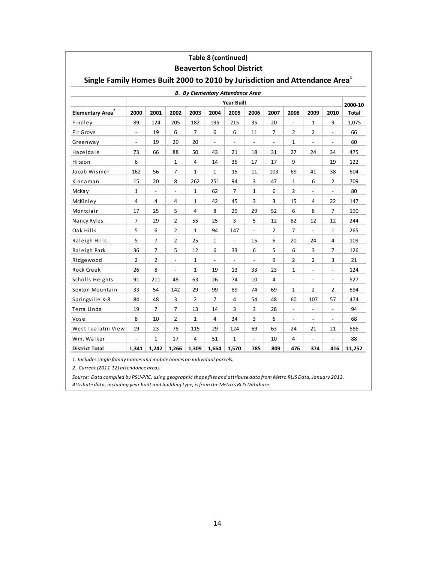|                                                                                         |                          |                          |                   |                |                | <b>Beaverton School District</b>        |                          |                |                          |                          |                          |         |
|-----------------------------------------------------------------------------------------|--------------------------|--------------------------|-------------------|----------------|----------------|-----------------------------------------|--------------------------|----------------|--------------------------|--------------------------|--------------------------|---------|
| Single Family Homes Built 2000 to 2010 by Jurisdiction and Attendance Area <sup>1</sup> |                          |                          |                   |                |                |                                         |                          |                |                          |                          |                          |         |
|                                                                                         |                          |                          |                   |                |                | <b>B.</b> By Elementary Attendance Area |                          |                |                          |                          |                          |         |
|                                                                                         |                          |                          |                   |                |                | <b>Year Built</b>                       |                          |                |                          |                          |                          | 2000-10 |
| Elementary Area <sup>2</sup>                                                            | 2000                     | 2001                     | 2002              | 2003           | 2004           | 2005                                    | 2006                     | 2007           | 2008                     | 2009                     | 2010                     | Total   |
| Findley                                                                                 | 89                       | 124                      | 205               | 182            | 195            | 215                                     | 35                       | 20             | $\frac{1}{2}$            | $\mathbf{1}$             | 9                        | 1,075   |
| Fir Grove                                                                               | $\overline{\phantom{a}}$ | 19                       | 6                 | $\overline{7}$ | 6              | 6                                       | 11                       | $\overline{7}$ | 2                        | $\overline{2}$           | $\overline{\phantom{a}}$ | 66      |
| Greenway                                                                                | $\overline{\phantom{a}}$ | 19                       | 20                | 20             | $\blacksquare$ | $\blacksquare$                          | $\blacksquare$           | $\blacksquare$ | $\mathbf{1}$             | $\blacksquare$           | $\overline{\phantom{a}}$ | 60      |
| Hazeldale                                                                               | 73                       | 66                       | 88                | 50             | 43             | 21                                      | 18                       | 31             | 27                       | 24                       | 34                       | 475     |
| Hiteon                                                                                  | 6                        |                          | 1                 | 4              | 14             | 35                                      | 17                       | 17             | 9                        |                          | 19                       | 122     |
| Jacob Wismer                                                                            | 162                      | 56                       | 7                 | $\mathbf{1}$   | 1              | 15                                      | 11                       | 103            | 69                       | 41                       | 38                       | 504     |
| Kinnaman                                                                                | 15                       | 20                       | 8                 | 262            | 251            | 94                                      | 3                        | 47             | $\mathbf{1}$             | 6                        | 2                        | 709     |
| McKa y                                                                                  | $\mathbf{1}$             | $\overline{\phantom{a}}$ | $\qquad \qquad -$ | $\mathbf{1}$   | 62             | $\overline{7}$                          | 1                        | 6              | $\overline{2}$           | $\overline{\phantom{a}}$ | $\overline{\phantom{0}}$ | 80      |
| McKinley                                                                                | 4                        | 4                        | 4                 | 1              | 42             | 45                                      | 3                        | 3              | 15                       | 4                        | 22                       | 147     |
| Montclair                                                                               | 17                       | 25                       | 5                 | 4              | 8              | 29                                      | 29                       | 52             | 6                        | 8                        | $\overline{7}$           | 190     |
| Nancy Ryles                                                                             | $\overline{7}$           | 29                       | $\overline{2}$    | 55             | 25             | 3                                       | 5                        | 12             | 82                       | 12                       | 12                       | 244     |
| Oak Hills                                                                               | 5                        | 6                        | 2                 | $\mathbf{1}$   | 94             | 147                                     | $\overline{\phantom{a}}$ | 2              | 7                        | $\overline{\phantom{a}}$ | 1                        | 265     |
| Raleigh Hills                                                                           | 5                        | $\overline{7}$           | $\overline{2}$    | 25             | $\mathbf{1}$   | $\blacksquare$                          | 15                       | 6              | 20                       | 24                       | 4                        | 109     |
| Raleigh Park                                                                            | 36                       | $\overline{7}$           | 5                 | 12             | 6              | 33                                      | 6                        | 5              | 6                        | 3                        | 7                        | 126     |
| Ridgewood                                                                               | $\overline{2}$           | $\overline{2}$           | $\centerdot$      | $\mathbf{1}$   | $\overline{a}$ | $\overline{a}$                          | $\overline{\phantom{a}}$ | 9              | $\overline{2}$           | $\overline{2}$           | 3                        | 21      |
| Rock Creek                                                                              | 26                       | 8                        | $\blacksquare$    | 1              | 19             | 13                                      | 33                       | 23             | 1                        | $\overline{\phantom{a}}$ | $\overline{\phantom{a}}$ | 124     |
| Scholls Heights                                                                         | 91                       | 211                      | 48                | 63             | 26             | 74                                      | 10                       | 4              | $\overline{a}$           | $\overline{\phantom{a}}$ | $\overline{\phantom{a}}$ | 527     |
| Sexton Mountain                                                                         | 33                       | 54                       | 142               | 29             | 99             | 89                                      | 74                       | 69             | 1                        | $\overline{2}$           | 2                        | 594     |
| Springville K-8                                                                         | 84                       | 48                       | 3                 | $\overline{2}$ | $\overline{7}$ | 4                                       | 54                       | 48             | 60                       | 107                      | 57                       | 474     |
| Terra Linda                                                                             | 19                       | 7                        | 7                 | 13             | 14             | 3                                       | 3                        | 28             | $\overline{\phantom{a}}$ | $\overline{\phantom{a}}$ | $\overline{\phantom{a}}$ | 94      |
| Vose                                                                                    | 8                        | 10                       | $\overline{2}$    | $\mathbf{1}$   | 4              | 34                                      | 3                        | 6              | $\frac{1}{2}$            | $\blacksquare$           | $\overline{\phantom{a}}$ | 68      |
| West Tualatin View                                                                      | 19                       | 23                       | 78                | 115            | 29             | 124                                     | 69                       | 63             | 24                       | 21                       | 21                       | 586     |
| Wm. Walker                                                                              |                          | 1                        | 17                | 4              | 51             | $\mathbf{1}$                            | $\overline{\phantom{a}}$ | 10             | 4                        | $\overline{a}$           |                          | 88      |
| <b>District Total</b>                                                                   | 1,341                    | 1,242                    | 1,266             | 1,309          | 1,664          | 1,570                                   | 785                      | 809            | 476                      | 374                      | 416                      | 11,252  |

Table 8 (continued)

1. Includes single family homes and mobile homes on individual parcels.

2. Current (2011-12) attendance areas.

Source: Data compiled by PSU-PRC, using geographic shape files and attribute data from Metro RLIS Data, January 2012. Attribute data, including year built and building type, is from the Metro's RLIS Database.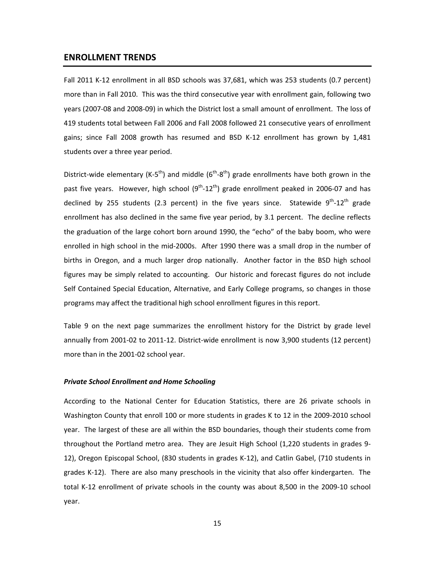#### **ENROLLMENT TRENDS**

Fall 2011 K-12 enrollment in all BSD schools was 37,681, which was 253 students (0.7 percent) more than in Fall 2010. This was the third consecutive year with enrollment gain, following two years (2007‐08 and 2008‐09) in which the District lost a small amount of enrollment. The loss of 419 students total between Fall 2006 and Fall 2008 followed 21 consecutive years of enrollment gains; since Fall 2008 growth has resumed and BSD K‐12 enrollment has grown by 1,481 students over a three year period.

District-wide elementary (K-5<sup>th</sup>) and middle ( $6<sup>th</sup>-8<sup>th</sup>$ ) grade enrollments have both grown in the past five years. However, high school  $(9^{th} - 12^{th})$  grade enrollment peaked in 2006-07 and has declined by 255 students (2.3 percent) in the five years since. Statewide  $9^{th}$ -12<sup>th</sup> grade enrollment has also declined in the same five year period, by 3.1 percent. The decline reflects the graduation of the large cohort born around 1990, the "echo" of the baby boom, who were enrolled in high school in the mid-2000s. After 1990 there was a small drop in the number of births in Oregon, and a much larger drop nationally. Another factor in the BSD high school figures may be simply related to accounting. Our historic and forecast figures do not include Self Contained Special Education, Alternative, and Early College programs, so changes in those programs may affect the traditional high school enrollment figures in this report.

Table 9 on the next page summarizes the enrollment history for the District by grade level annually from 2001‐02 to 2011‐12. District‐wide enrollment is now 3,900 students (12 percent) more than in the 2001‐02 school year.

#### *Private School Enrollment and Home Schooling*

According to the National Center for Education Statistics, there are 26 private schools in Washington County that enroll 100 or more students in grades K to 12 in the 2009‐2010 school year. The largest of these are all within the BSD boundaries, though their students come from throughout the Portland metro area. They are Jesuit High School (1,220 students in grades 9‐ 12), Oregon Episcopal School, (830 students in grades K‐12), and Catlin Gabel, (710 students in grades K‐12). There are also many preschools in the vicinity that also offer kindergarten. The total K‐12 enrollment of private schools in the county was about 8,500 in the 2009‐10 school year.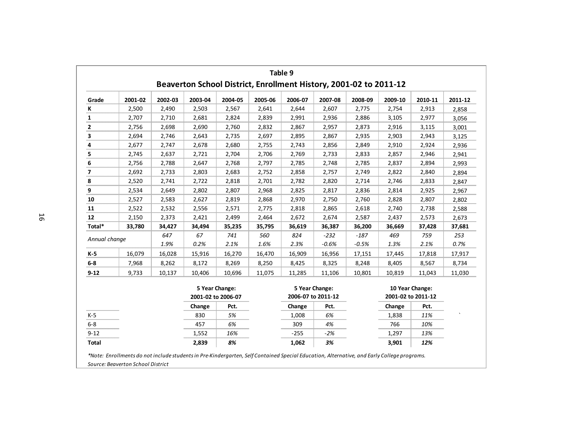|               |         |         |         |                                      |         | Table 9                              |         | Beaverton School District, Enrollment History, 2001-02 to 2011-12 |                    |                 |         |
|---------------|---------|---------|---------|--------------------------------------|---------|--------------------------------------|---------|-------------------------------------------------------------------|--------------------|-----------------|---------|
| Grade         | 2001-02 | 2002-03 | 2003-04 | 2004-05                              | 2005-06 | 2006-07                              | 2007-08 | 2008-09                                                           | 2009-10            | 2010-11         | 2011-12 |
| К             | 2,500   | 2,490   | 2,503   | 2,567                                | 2,641   | 2,644                                | 2,607   | 2,775                                                             | 2,754              | 2,913           | 2,858   |
| 1             | 2,707   | 2,710   | 2,681   | 2,824                                | 2,839   | 2,991                                | 2,936   | 2,886                                                             | 3,105              | 2,977           | 3,056   |
| $\mathbf{2}$  | 2,756   | 2,698   | 2,690   | 2,760                                | 2,832   | 2,867                                | 2,957   | 2,873                                                             | 2,916              | 3,115           | 3,001   |
| 3             | 2,694   | 2,746   | 2,643   | 2,735                                | 2,697   | 2,895                                | 2,867   | 2,935                                                             | 2,903              | 2,943           | 3,125   |
| 4             | 2,677   | 2,747   | 2,678   | 2,680                                | 2,755   | 2,743                                | 2,856   | 2,849                                                             | 2,910              | 2,924           | 2,936   |
| 5             | 2,745   | 2,637   | 2,721   | 2,704                                | 2,706   | 2,769                                | 2,733   | 2,833                                                             | 2,857              | 2,946           | 2,941   |
| 6             | 2,756   | 2,788   | 2,647   | 2,768                                | 2,797   | 2,785                                | 2,748   | 2,785                                                             | 2,837              | 2,894           | 2,993   |
| 7             | 2,692   | 2,733   | 2,803   | 2,683                                | 2,752   | 2,858                                | 2,757   | 2,749                                                             | 2,822              | 2,840           | 2,894   |
| 8             | 2,520   | 2,741   | 2,722   | 2,818                                | 2,701   | 2,782                                | 2,820   | 2,714                                                             | 2,746              | 2,833           | 2,847   |
| 9             | 2,534   | 2,649   | 2,802   | 2,807                                | 2,968   | 2,825                                | 2,817   | 2,836                                                             | 2,814              | 2,925           | 2,967   |
| 10            | 2,527   | 2,583   | 2,627   | 2,819                                | 2,868   | 2,970                                | 2,750   | 2,760                                                             | 2,828              | 2,807           | 2,802   |
| 11            | 2,522   | 2,532   | 2,556   | 2,571                                | 2,775   | 2,818                                | 2,865   | 2,618                                                             | 2,740              | 2,738           | 2,588   |
| 12            | 2,150   | 2,373   | 2,421   | 2,499                                | 2,464   | 2,672                                | 2,674   | 2,587                                                             | 2,437              | 2,573           | 2,673   |
| Total*        | 33,780  | 34,427  | 34,494  | 35,235                               | 35,795  | 36,619                               | 36,387  | 36,200                                                            | 36,669             | 37,428          | 37,681  |
| Annual change |         | 647     | 67      | 741                                  | 560     | 824                                  | $-232$  | $-187$                                                            | 469                | 759             | 253     |
|               |         | 1.9%    | 0.2%    | 2.1%                                 | 1.6%    | 2.3%                                 | $-0.6%$ | $-0.5%$                                                           | 1.3%               | 2.1%            | 0.7%    |
| K-5           | 16,079  | 16,028  | 15,916  | 16,270                               | 16,470  | 16,909                               | 16,956  | 17,151                                                            | 17,445             | 17,818          | 17,917  |
| $6 - 8$       | 7,968   | 8,262   | 8,172   | 8,269                                | 8,250   | 8,425                                | 8,325   | 8,248                                                             | 8,405              | 8,567           | 8,734   |
| $9 - 12$      | 9,733   | 10,137  | 10,406  | 10,696                               | 11,075  | 11,285                               | 11,106  | 10,801                                                            | 10,819             | 11,043          | 11,030  |
|               |         |         |         | 5 Year Change:<br>2001-02 to 2006-07 |         | 5 Year Change:<br>2006-07 to 2011-12 |         |                                                                   | 2001-02 to 2011-12 | 10 Year Change: |         |
|               |         |         | Change  | Pct.                                 |         | Change                               | Pct.    |                                                                   | Change             | Pct.            |         |
| $K-5$         |         |         | 830     | 5%                                   |         | 1,008                                | 6%      |                                                                   | 1,838              | 11%             |         |
| $6-8$         |         |         | 457     | 6%                                   |         | 309                                  | 4%      |                                                                   | 766                | 10%             |         |
| $9 - 12$      |         |         | 1,552   | 16%                                  |         | $-255$                               | $-2%$   |                                                                   | 1,297              | 13%             |         |
| <b>Total</b>  |         |         | 2,839   | 8%                                   |         | 1,062                                | 3%      |                                                                   | 3,901              | 12%             |         |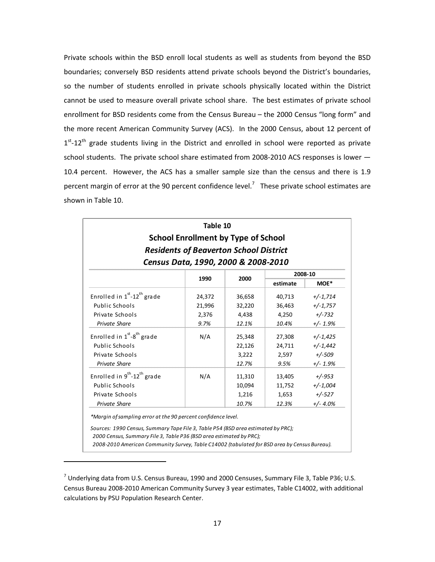Private schools within the BSD enroll local students as well as students from beyond the BSD boundaries; conversely BSD residents attend private schools beyond the District's boundaries, so the number of students enrolled in private schools physically located within the District cannot be used to measure overall private school share. The best estimates of private school enrollment for BSD residents come from the Census Bureau – the 2000 Census "long form" and the more recent American Community Survey (ACS). In the 2000 Census, about 12 percent of  $1<sup>st</sup>$ -12<sup>th</sup> grade students living in the District and enrolled in school were reported as private school students. The private school share estimated from 2008-2010 ACS responses is lower — 10.4 percent. However, the ACS has a smaller sample size than the census and there is 1.9 percent margin of error at the 90 percent confidence level.<sup>7</sup> These private school estimates are shown in Table 10.

|                                                                                                                                                                                                                                                          | Table 10<br><b>School Enrollment by Type of School</b> |        |          |            |  |  |  |  |  |  |  |
|----------------------------------------------------------------------------------------------------------------------------------------------------------------------------------------------------------------------------------------------------------|--------------------------------------------------------|--------|----------|------------|--|--|--|--|--|--|--|
|                                                                                                                                                                                                                                                          |                                                        |        |          |            |  |  |  |  |  |  |  |
| <b>Residents of Beaverton School District</b><br>Census Data, 1990, 2000 & 2008-2010                                                                                                                                                                     |                                                        |        |          |            |  |  |  |  |  |  |  |
| 2008-10                                                                                                                                                                                                                                                  |                                                        |        |          |            |  |  |  |  |  |  |  |
|                                                                                                                                                                                                                                                          | 1990                                                   | 2000   | estimate | MOE*       |  |  |  |  |  |  |  |
| Enrolled in $1st$ -12 <sup>th</sup> grade                                                                                                                                                                                                                | 24,372                                                 | 36,658 | 40,713   | $+/-1,714$ |  |  |  |  |  |  |  |
| Public Schools                                                                                                                                                                                                                                           | 21,996                                                 | 32,220 | 36,463   | $+/-1,757$ |  |  |  |  |  |  |  |
| Private Schools                                                                                                                                                                                                                                          | 2,376                                                  | 4,438  | 4,250    | $+/-732$   |  |  |  |  |  |  |  |
| Private Share                                                                                                                                                                                                                                            | 9.7%                                                   | 12.1%  | 10.4%    | $+/- 1.9%$ |  |  |  |  |  |  |  |
| Enrolled in $1st - 8th$ grade                                                                                                                                                                                                                            | N/A                                                    | 25,348 | 27,308   | $+/-1,425$ |  |  |  |  |  |  |  |
| Public Schools                                                                                                                                                                                                                                           |                                                        | 22,126 | 24,711   | $+/-1,442$ |  |  |  |  |  |  |  |
| Private Schools                                                                                                                                                                                                                                          |                                                        | 3,222  | 2,597    | $+/-509$   |  |  |  |  |  |  |  |
| <b>Private Share</b>                                                                                                                                                                                                                                     |                                                        | 12.7%  | 9.5%     | $+/- 1.9%$ |  |  |  |  |  |  |  |
| Enrolled in $9^{th}$ -12 <sup>th</sup> grade                                                                                                                                                                                                             | N/A                                                    | 11,310 | 13,405   | $+/-953$   |  |  |  |  |  |  |  |
| Public Schools                                                                                                                                                                                                                                           |                                                        | 10,094 | 11,752   | $+/-1,004$ |  |  |  |  |  |  |  |
| Private Schools                                                                                                                                                                                                                                          |                                                        | 1,216  | 1,653    | $+/-527$   |  |  |  |  |  |  |  |
| Private Share                                                                                                                                                                                                                                            |                                                        | 10.7%  | 12.3%    | $+/- 4.0%$ |  |  |  |  |  |  |  |
| *Margin of sampling error at the 90 percent confidence level.                                                                                                                                                                                            |                                                        |        |          |            |  |  |  |  |  |  |  |
| Sources: 1990 Census, Summary Tape File 3, Table P54 (BSD area estimated by PRC);<br>2000 Census, Summary File 3, Table P36 (BSD area estimated by PRC);<br>2008-2010 American Community Survey, Table C14002 (tabulated for BSD area by Census Bureau). |                                                        |        |          |            |  |  |  |  |  |  |  |

 $^7$  Underlying data from U.S. Census Bureau, 1990 and 2000 Censuses, Summary File 3, Table P36; U.S. Census Bureau 2008‐2010 American Community Survey 3 year estimates, Table C14002, with additional calculations by PSU Population Research Center.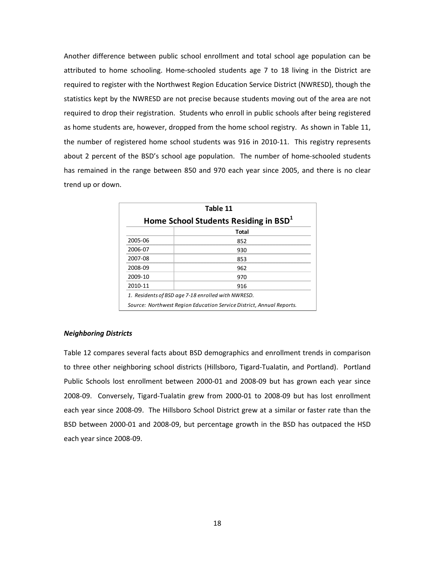Another difference between public school enrollment and total school age population can be attributed to home schooling. Home‐schooled students age 7 to 18 living in the District are required to register with the Northwest Region Education Service District (NWRESD), though the statistics kept by the NWRESD are not precise because students moving out of the area are not required to drop their registration. Students who enroll in public schools after being registered as home students are, however, dropped from the home school registry. As shown in Table 11, the number of registered home school students was 916 in 2010‐11. This registry represents about 2 percent of the BSD's school age population. The number of home-schooled students has remained in the range between 850 and 970 each year since 2005, and there is no clear trend up or down.

| Table 11 |                                                                      |  |  |  |  |  |  |  |  |  |  |
|----------|----------------------------------------------------------------------|--|--|--|--|--|--|--|--|--|--|
|          | Home School Students Residing in BSD <sup>1</sup>                    |  |  |  |  |  |  |  |  |  |  |
|          | Total                                                                |  |  |  |  |  |  |  |  |  |  |
| 2005-06  | 852                                                                  |  |  |  |  |  |  |  |  |  |  |
| 2006-07  | 930                                                                  |  |  |  |  |  |  |  |  |  |  |
| 2007-08  | 853                                                                  |  |  |  |  |  |  |  |  |  |  |
| 2008-09  | 962                                                                  |  |  |  |  |  |  |  |  |  |  |
| 2009-10  | 970                                                                  |  |  |  |  |  |  |  |  |  |  |
| 2010-11  | 916                                                                  |  |  |  |  |  |  |  |  |  |  |
|          | 1. Residents of BSD age 7-18 enrolled with NWRESD.                   |  |  |  |  |  |  |  |  |  |  |
|          | Source: Northwest Region Education Service District, Annual Reports. |  |  |  |  |  |  |  |  |  |  |

#### *Neighboring Districts*

Table 12 compares several facts about BSD demographics and enrollment trends in comparison to three other neighboring school districts (Hillsboro, Tigard‐Tualatin, and Portland). Portland Public Schools lost enrollment between 2000‐01 and 2008‐09 but has grown each year since 2008‐09. Conversely, Tigard‐Tualatin grew from 2000‐01 to 2008‐09 but has lost enrollment each year since 2008‐09. The Hillsboro School District grew at a similar or faster rate than the BSD between 2000‐01 and 2008‐09, but percentage growth in the BSD has outpaced the HSD each year since 2008‐09.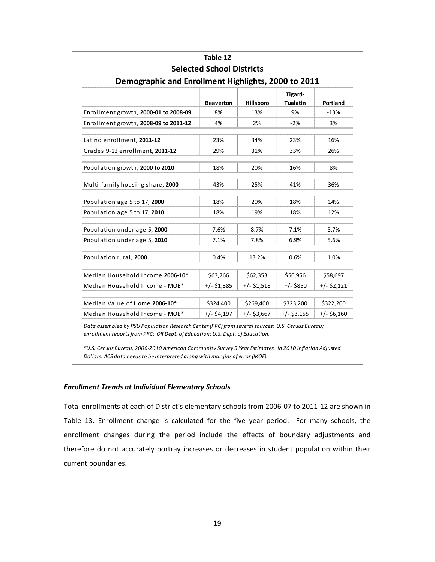| Table 12<br><b>Selected School Districts</b>        |                  |                  |                            |               |  |  |  |  |  |  |  |
|-----------------------------------------------------|------------------|------------------|----------------------------|---------------|--|--|--|--|--|--|--|
| Demographic and Enrollment Highlights, 2000 to 2011 |                  |                  |                            |               |  |  |  |  |  |  |  |
|                                                     | <b>Beaverton</b> | <b>Hillsboro</b> | Tigard-<br><b>Tualatin</b> | Portland      |  |  |  |  |  |  |  |
| Enrollment growth, 2000-01 to 2008-09               | 8%               | 13%              | 9%                         | $-13%$        |  |  |  |  |  |  |  |
| Enrollment growth, 2008-09 to 2011-12               | 4%               | 2%               | $-2%$                      | 3%            |  |  |  |  |  |  |  |
| Latino enrollment, 2011-12                          | 23%              | 34%              | 23%                        | 16%           |  |  |  |  |  |  |  |
| Grades 9-12 enrollment, 2011-12                     | 29%              | 31%              | 33%                        | 26%           |  |  |  |  |  |  |  |
| Population growth, 2000 to 2010                     | 18%              | 20%              | 16%                        | 8%            |  |  |  |  |  |  |  |
| Multi-family housing share, 2000                    | 43%              | 25%              | 41%                        | 36%           |  |  |  |  |  |  |  |
| Population age 5 to 17, 2000                        | 18%              | 20%              | 18%                        | 14%           |  |  |  |  |  |  |  |
| Population age 5 to 17, 2010                        | 18%              | 19%              | 18%                        | 12%           |  |  |  |  |  |  |  |
| Population under age 5, 2000                        | 7.6%             | 8.7%             | 7.1%                       | 5.7%          |  |  |  |  |  |  |  |
| Population under age 5, 2010                        | 7.1%             | 7.8%             | 6.9%                       | 5.6%          |  |  |  |  |  |  |  |
| Population rural, 2000                              | 0.4%             | 13.2%            | 0.6%                       | 1.0%          |  |  |  |  |  |  |  |
| Median Household Income 2006-10*                    | \$63,766         | \$62,353         | \$50,956                   | \$58,697      |  |  |  |  |  |  |  |
| Median Household Income - MOE*                      | $+/-$ \$1,385    | $+/-$ \$1,518    | $+/-$ \$850                | +/- \$2,121   |  |  |  |  |  |  |  |
| Median Value of Home 2006-10*                       | \$324,400        | \$269,400        | \$323,200                  | \$322,200     |  |  |  |  |  |  |  |
| Median Household Income - MOE*                      | $+/-$ \$4,197    | $+/-$ \$3,667    | $+/-$ \$3,155              | $+/-$ \$6,160 |  |  |  |  |  |  |  |

*Data assembled by PSU Population Research Center (PRC) from several sources: U.S. Census Bureau; enrollment reportsfrom PRC; OR Dept. of Education; U.S. Dept. of Education.*

*\*U.S. Census Bureau, 2006‐2010 American Community Survey 5 Year Estimates. In 2010 Inflation Adjusted Dollars. ACS data needsto be interpreted along with margins of error (MOE).*

#### *Enrollment Trends at Individual Elementary Schools*

Total enrollments at each of District's elementary schools from 2006‐07 to 2011‐12 are shown in Table 13. Enrollment change is calculated for the five year period. For many schools, the enrollment changes during the period include the effects of boundary adjustments and therefore do not accurately portray increases or decreases in student population within their current boundaries.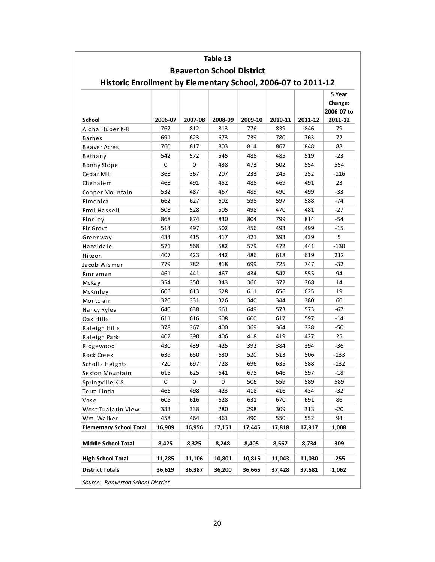|                                                              |             |                                  | Table 13 |         |         |         |            |
|--------------------------------------------------------------|-------------|----------------------------------|----------|---------|---------|---------|------------|
|                                                              |             | <b>Beaverton School District</b> |          |         |         |         |            |
| Historic Enrollment by Elementary School, 2006-07 to 2011-12 |             |                                  |          |         |         |         |            |
|                                                              |             |                                  |          |         |         |         | 5 Year     |
|                                                              |             |                                  |          |         |         |         | Change:    |
|                                                              |             |                                  |          |         |         |         | 2006-07 to |
| School                                                       | 2006-07     | 2007-08                          | 2008-09  | 2009-10 | 2010-11 | 2011-12 | 2011-12    |
| Aloha Huber K-8                                              | 767         | 812                              | 813      | 776     | 839     | 846     | 79         |
| <b>Barnes</b>                                                | 691         | 623                              | 673      | 739     | 780     | 763     | 72         |
| Beaver Acres                                                 | 760         | 817                              | 803      | 814     | 867     | 848     | 88         |
| Bethany                                                      | 542         | 572                              | 545      | 485     | 485     | 519     | $-23$      |
| <b>Bonny Slope</b>                                           | $\mathbf 0$ | $\mathbf 0$                      | 438      | 473     | 502     | 554     | 554        |
| Cedar Mill                                                   | 368         | 367                              | 207      | 233     | 245     | 252     | -116       |
| Chehalem                                                     | 468         | 491                              | 452      | 485     | 469     | 491     | 23         |
| Cooper Mountain                                              | 532         | 487                              | 467      | 489     | 490     | 499     | $-33$      |
| Elmonica                                                     | 662         | 627                              | 602      | 595     | 597     | 588     | $-74$      |
| Errol Hassell                                                | 508         | 528                              | 505      | 498     | 470     | 481     | $-27$      |
| Findley                                                      | 868         | 874                              | 830      | 804     | 799     | 814     | -54        |
| Fir Grove                                                    | 514         | 497                              | 502      | 456     | 493     | 499     | $-15$      |
| Greenway                                                     | 434         | 415                              | 417      | 421     | 393     | 439     | 5          |
| Hazeldale                                                    | 571         | 568                              | 582      | 579     | 472     | 441     | -130       |
| Hiteon                                                       | 407         | 423                              | 442      | 486     | 618     | 619     | 212        |
| Jacob Wismer                                                 | 779         | 782                              | 818      | 699     | 725     | 747     | $-32$      |
| Kinnaman                                                     | 461         | 441                              | 467      | 434     | 547     | 555     | 94         |
| McKay                                                        | 354         | 350                              | 343      | 366     | 372     | 368     | 14         |
| McKinley                                                     | 606         | 613                              | 628      | 611     | 656     | 625     | 19         |
| Montclair                                                    | 320         | 331                              | 326      | 340     | 344     | 380     | 60         |
| Nancy Ryles                                                  | 640         | 638                              | 661      | 649     | 573     | 573     | -67        |
| Oak Hills                                                    | 611         | 616                              | 608      | 600     | 617     | 597     | $-14$      |
| Raleigh Hills                                                | 378         | 367                              | 400      | 369     | 364     | 328     | -50        |
| Raleigh Park                                                 | 402         | 390                              | 406      | 418     | 419     | 427     | 25         |
| Ridgewood                                                    | 430         | 439                              | 425      | 392     | 384     | 394     | $-36$      |
| Rock Creek                                                   | 639         | 650                              | 630      | 520     | 513     | 506     | -133       |
| Scholls Heights                                              | 720         | 697                              | 728      | 696     | 635     | 588     | $-132$     |
| Sexton Mountain                                              | 615         | 625                              | 641      | 675     | 646     | 597     | $-18$      |
| Springville K-8                                              | $\mathbf 0$ | 0                                | 0        | 506     | 559     | 589     | 589        |
| Terra Linda                                                  | 466         | 498                              | 423      | 418     | 416     | 434     | $-32$      |
| Vose                                                         | 605         | 616                              | 628      | 631     | 670     | 691     | 86         |
| West Tualatin View                                           | 333         | 338                              | 280      | 298     | 309     | 313     | $-20$      |
| Wm. Walker                                                   | 458         | 464                              | 461      | 490     | 550     | 552     | 94         |
| <b>Elementary School Total</b>                               | 16,909      | 16,956                           | 17,151   | 17,445  | 17,818  | 17,917  | 1,008      |
|                                                              |             |                                  |          |         |         |         |            |
| <b>Middle School Total</b>                                   | 8,425       | 8,325                            | 8,248    | 8,405   | 8,567   | 8,734   | 309        |
| <b>High School Total</b>                                     | 11,285      | 11,106                           | 10,801   | 10,815  | 11,043  | 11,030  | $-255$     |
| <b>District Totals</b>                                       | 36,619      | 36,387                           | 36,200   | 36,665  | 37,428  | 37,681  | 1,062      |
| Source: Beaverton School District.                           |             |                                  |          |         |         |         |            |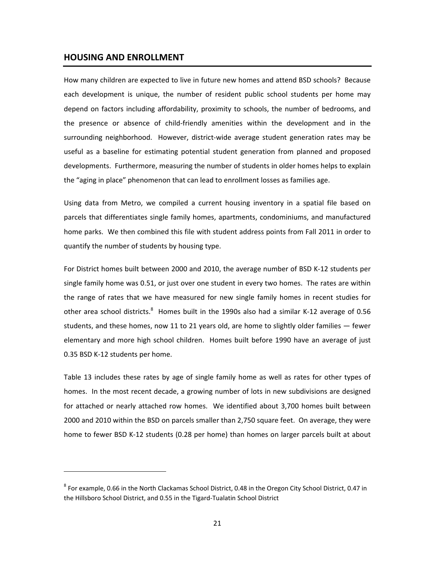#### **HOUSING AND ENROLLMENT**

How many children are expected to live in future new homes and attend BSD schools? Because each development is unique, the number of resident public school students per home may depend on factors including affordability, proximity to schools, the number of bedrooms, and the presence or absence of child‐friendly amenities within the development and in the surrounding neighborhood. However, district‐wide average student generation rates may be useful as a baseline for estimating potential student generation from planned and proposed developments. Furthermore, measuring the number of students in older homes helps to explain the "aging in place" phenomenon that can lead to enrollment losses as families age.

Using data from Metro, we compiled a current housing inventory in a spatial file based on parcels that differentiates single family homes, apartments, condominiums, and manufactured home parks. We then combined this file with student address points from Fall 2011 in order to quantify the number of students by housing type.

For District homes built between 2000 and 2010, the average number of BSD K‐12 students per single family home was 0.51, or just over one student in every two homes. The rates are within the range of rates that we have measured for new single family homes in recent studies for other area school districts.<sup>8</sup> Homes built in the 1990s also had a similar K-12 average of 0.56 students, and these homes, now 11 to 21 years old, are home to slightly older families — fewer elementary and more high school children. Homes built before 1990 have an average of just 0.35 BSD K‐12 students per home.

Table 13 includes these rates by age of single family home as well as rates for other types of homes. In the most recent decade, a growing number of lots in new subdivisions are designed for attached or nearly attached row homes. We identified about 3,700 homes built between 2000 and 2010 within the BSD on parcels smaller than 2,750 square feet. On average, they were home to fewer BSD K‐12 students (0.28 per home) than homes on larger parcels built at about

<sup>8</sup> For example, 0.66 in the North Clackamas School District, 0.48 in the Oregon City School District, 0.47 in the Hillsboro School District, and 0.55 in the Tigard‐Tualatin School District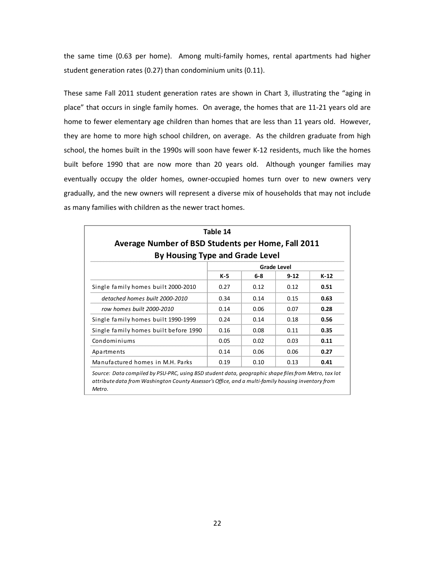the same time (0.63 per home). Among multi-family homes, rental apartments had higher student generation rates (0.27) than condominium units (0.11).

These same Fall 2011 student generation rates are shown in Chart 3, illustrating the "aging in place" that occurs in single family homes. On average, the homes that are 11‐21 years old are home to fewer elementary age children than homes that are less than 11 years old. However, they are home to more high school children, on average. As the children graduate from high school, the homes built in the 1990s will soon have fewer K‐12 residents, much like the homes built before 1990 that are now more than 20 years old. Although younger families may eventually occupy the older homes, owner‐occupied homes turn over to new owners very gradually, and the new owners will represent a diverse mix of households that may not include as many families with children as the newer tract homes.

|                                                                                              | Table 14 |         |          |        |  |  |  |  |  |  |  |
|----------------------------------------------------------------------------------------------|----------|---------|----------|--------|--|--|--|--|--|--|--|
| Average Number of BSD Students per Home, Fall 2011<br><b>By Housing Type and Grade Level</b> |          |         |          |        |  |  |  |  |  |  |  |
|                                                                                              |          |         |          |        |  |  |  |  |  |  |  |
|                                                                                              | K-5      | $6 - 8$ | $9 - 12$ | $K-12$ |  |  |  |  |  |  |  |
| Single family homes built 2000-2010                                                          | 0.27     | 0.12    | 0.12     | 0.51   |  |  |  |  |  |  |  |
| detached homes built 2000-2010                                                               | 0.34     | 0.14    | 0.15     | 0.63   |  |  |  |  |  |  |  |
| row homes built 2000-2010                                                                    | 0.14     | 0.06    | 0.07     | 0.28   |  |  |  |  |  |  |  |
| Single family homes built 1990-1999                                                          | 0.24     | 0.14    | 0.18     | 0.56   |  |  |  |  |  |  |  |
| Single family homes built before 1990                                                        | 0.16     | 0.08    | 0.11     | 0.35   |  |  |  |  |  |  |  |
| Condominiums                                                                                 | 0.05     | 0.02    | 0.03     | 0.11   |  |  |  |  |  |  |  |
| Apartments                                                                                   | 0.14     | 0.06    | 0.06     | 0.27   |  |  |  |  |  |  |  |
| Manufactured homes in M.H. Parks                                                             | 0.19     | 0.10    | 0.13     | 0.41   |  |  |  |  |  |  |  |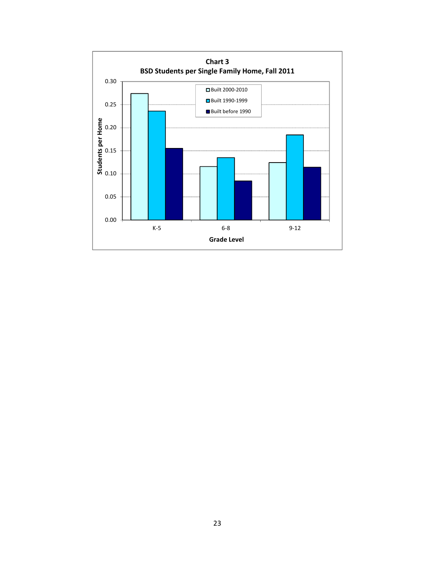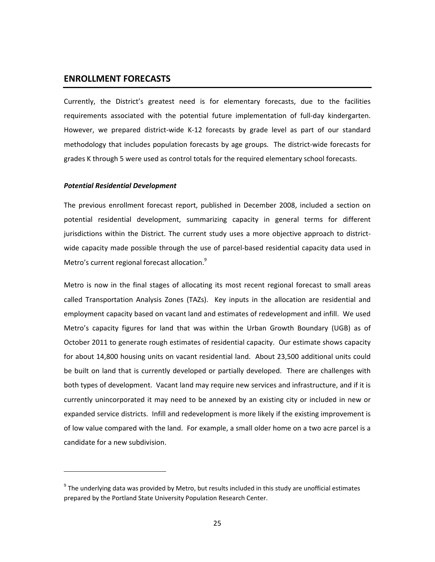#### **ENROLLMENT FORECASTS**

Currently, the District's greatest need is for elementary forecasts, due to the facilities requirements associated with the potential future implementation of full‐day kindergarten. However, we prepared district-wide K-12 forecasts by grade level as part of our standard methodology that includes population forecasts by age groups. The district‐wide forecasts for grades K through 5 were used as control totals for the required elementary school forecasts.

#### *Potential Residential Development*

The previous enrollment forecast report, published in December 2008, included a section on potential residential development, summarizing capacity in general terms for different jurisdictions within the District. The current study uses a more objective approach to districtwide capacity made possible through the use of parcel‐based residential capacity data used in Metro's current regional forecast allocation.<sup>9</sup>

Metro is now in the final stages of allocating its most recent regional forecast to small areas called Transportation Analysis Zones (TAZs). Key inputs in the allocation are residential and employment capacity based on vacant land and estimates of redevelopment and infill. We used Metro's capacity figures for land that was within the Urban Growth Boundary (UGB) as of October 2011 to generate rough estimates of residential capacity. Our estimate shows capacity for about 14,800 housing units on vacant residential land. About 23,500 additional units could be built on land that is currently developed or partially developed. There are challenges with both types of development. Vacant land may require new services and infrastructure, and if it is currently unincorporated it may need to be annexed by an existing city or included in new or expanded service districts. Infill and redevelopment is more likely if the existing improvement is of low value compared with the land. For example, a small older home on a two acre parcel is a candidate for a new subdivision.

 $9$  The underlying data was provided by Metro, but results included in this study are unofficial estimates prepared by the Portland State University Population Research Center.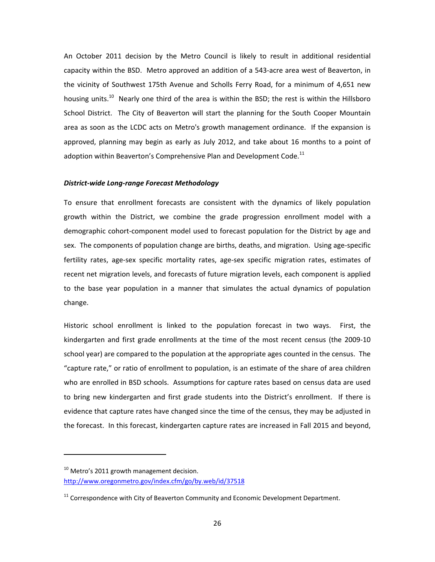An October 2011 decision by the Metro Council is likely to result in additional residential capacity within the BSD. Metro approved an addition of a 543‐acre area west of Beaverton, in the vicinity of Southwest 175th Avenue and Scholls Ferry Road, for a minimum of 4,651 new housing units.<sup>10</sup> Nearly one third of the area is within the BSD; the rest is within the Hillsboro School District. The City of Beaverton will start the planning for the South Cooper Mountain area as soon as the LCDC acts on Metro's growth management ordinance. If the expansion is approved, planning may begin as early as July 2012, and take about 16 months to a point of adoption within Beaverton's Comprehensive Plan and Development Code. $^{11}$ 

#### *District‐wide Long‐range Forecast Methodology*

To ensure that enrollment forecasts are consistent with the dynamics of likely population growth within the District, we combine the grade progression enrollment model with a demographic cohort‐component model used to forecast population for the District by age and sex. The components of population change are births, deaths, and migration. Using age-specific fertility rates, age-sex specific mortality rates, age-sex specific migration rates, estimates of recent net migration levels, and forecasts of future migration levels, each component is applied to the base year population in a manner that simulates the actual dynamics of population change.

Historic school enrollment is linked to the population forecast in two ways. First, the kindergarten and first grade enrollments at the time of the most recent census (the 2009-10 school year) are compared to the population at the appropriate ages counted in the census. The "capture rate," or ratio of enrollment to population, is an estimate of the share of area children who are enrolled in BSD schools. Assumptions for capture rates based on census data are used to bring new kindergarten and first grade students into the District's enrollment. If there is evidence that capture rates have changed since the time of the census, they may be adjusted in the forecast. In this forecast, kindergarten capture rates are increased in Fall 2015 and beyond,

 $10$  Metro's 2011 growth management decision. http://www.oregonmetro.gov/index.cfm/go/by.web/id/37518

 $11$  Correspondence with City of Beaverton Community and Economic Development Department.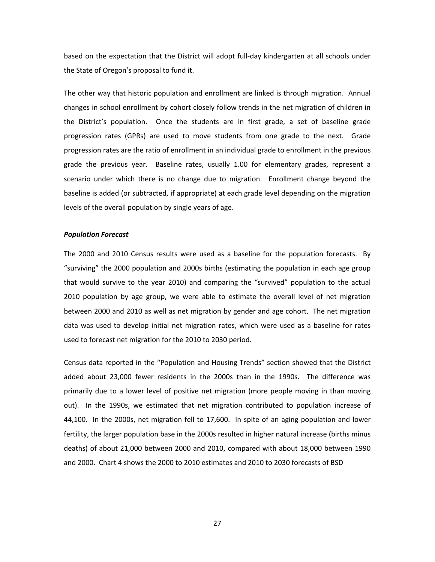based on the expectation that the District will adopt full‐day kindergarten at all schools under the State of Oregon's proposal to fund it.

The other way that historic population and enrollment are linked is through migration. Annual changes in school enrollment by cohort closely follow trends in the net migration of children in the District's population. Once the students are in first grade, a set of baseline grade progression rates (GPRs) are used to move students from one grade to the next. Grade progression rates are the ratio of enrollment in an individual grade to enrollment in the previous grade the previous year. Baseline rates, usually 1.00 for elementary grades, represent a scenario under which there is no change due to migration. Enrollment change beyond the baseline is added (or subtracted, if appropriate) at each grade level depending on the migration levels of the overall population by single years of age.

#### *Population Forecast*

The 2000 and 2010 Census results were used as a baseline for the population forecasts. By "surviving" the 2000 population and 2000s births (estimating the population in each age group that would survive to the year 2010) and comparing the "survived" population to the actual 2010 population by age group, we were able to estimate the overall level of net migration between 2000 and 2010 as well as net migration by gender and age cohort. The net migration data was used to develop initial net migration rates, which were used as a baseline for rates used to forecast net migration for the 2010 to 2030 period.

Census data reported in the "Population and Housing Trends" section showed that the District added about 23,000 fewer residents in the 2000s than in the 1990s. The difference was primarily due to a lower level of positive net migration (more people moving in than moving out). In the 1990s, we estimated that net migration contributed to population increase of 44,100. In the 2000s, net migration fell to 17,600. In spite of an aging population and lower fertility, the larger population base in the 2000s resulted in higher natural increase (births minus deaths) of about 21,000 between 2000 and 2010, compared with about 18,000 between 1990 and 2000. Chart 4 shows the 2000 to 2010 estimates and 2010 to 2030 forecasts of BSD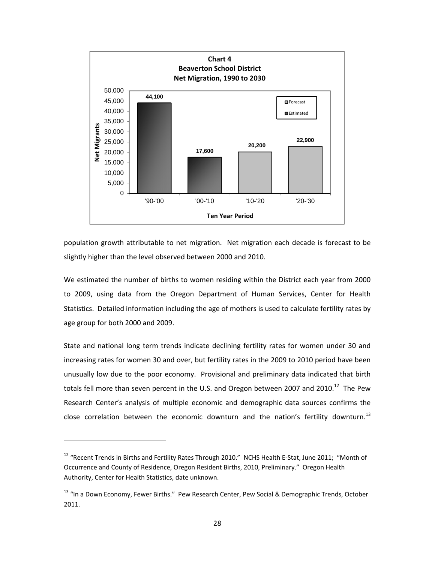

population growth attributable to net migration. Net migration each decade is forecast to be slightly higher than the level observed between 2000 and 2010.

We estimated the number of births to women residing within the District each year from 2000 to 2009, using data from the Oregon Department of Human Services, Center for Health Statistics. Detailed information including the age of mothers is used to calculate fertility rates by age group for both 2000 and 2009.

State and national long term trends indicate declining fertility rates for women under 30 and increasing rates for women 30 and over, but fertility rates in the 2009 to 2010 period have been unusually low due to the poor economy. Provisional and preliminary data indicated that birth totals fell more than seven percent in the U.S. and Oregon between 2007 and 2010.<sup>12</sup> The Pew Research Center's analysis of multiple economic and demographic data sources confirms the close correlation between the economic downturn and the nation's fertility downturn.<sup>13</sup>

<sup>&</sup>lt;sup>12</sup> "Recent Trends in Births and Fertility Rates Through 2010." NCHS Health E-Stat, June 2011; "Month of Occurrence and County of Residence, Oregon Resident Births, 2010, Preliminary." Oregon Health Authority, Center for Health Statistics, date unknown.

<sup>&</sup>lt;sup>13</sup> "In a Down Economy, Fewer Births." Pew Research Center, Pew Social & Demographic Trends, October 2011.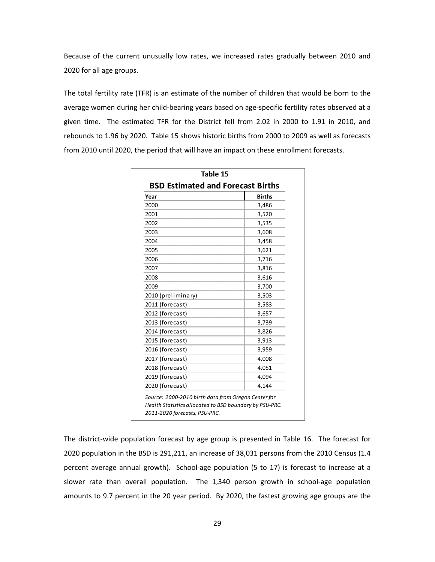Because of the current unusually low rates, we increased rates gradually between 2010 and 2020 for all age groups.

The total fertility rate (TFR) is an estimate of the number of children that would be born to the average women during her child‐bearing years based on age‐specific fertility rates observed at a given time. The estimated TFR for the District fell from 2.02 in 2000 to 1.91 in 2010, and rebounds to 1.96 by 2020. Table 15 shows historic births from 2000 to 2009 as well as forecasts from 2010 until 2020, the period that will have an impact on these enrollment forecasts.

| Table 15                                                |        |  |  |  |  |  |  |
|---------------------------------------------------------|--------|--|--|--|--|--|--|
| <b>BSD Estimated and Forecast Births</b>                |        |  |  |  |  |  |  |
| Year                                                    | Births |  |  |  |  |  |  |
| 2000                                                    | 3,486  |  |  |  |  |  |  |
| 2001                                                    | 3,520  |  |  |  |  |  |  |
| 2002                                                    | 3,535  |  |  |  |  |  |  |
| 2003                                                    | 3,608  |  |  |  |  |  |  |
| 2004                                                    | 3,458  |  |  |  |  |  |  |
| 2005                                                    | 3,621  |  |  |  |  |  |  |
| 2006                                                    | 3,716  |  |  |  |  |  |  |
| 2007                                                    | 3,816  |  |  |  |  |  |  |
| 2008                                                    | 3,616  |  |  |  |  |  |  |
| 2009                                                    | 3,700  |  |  |  |  |  |  |
| 2010 (preliminary)                                      | 3,503  |  |  |  |  |  |  |
| 2011 (forecast)                                         | 3,583  |  |  |  |  |  |  |
| 2012 (forecast)                                         | 3,657  |  |  |  |  |  |  |
| 2013 (forecast)                                         | 3,739  |  |  |  |  |  |  |
| 2014 (forecast)                                         | 3,826  |  |  |  |  |  |  |
| 2015 (forecast)                                         | 3,913  |  |  |  |  |  |  |
| 2016 (forecast)                                         | 3,959  |  |  |  |  |  |  |
| 2017 (forecast)                                         | 4,008  |  |  |  |  |  |  |
| 2018 (forecast)                                         | 4,051  |  |  |  |  |  |  |
| 2019 (forecast)                                         | 4,094  |  |  |  |  |  |  |
| 2020 (forecast)                                         | 4,144  |  |  |  |  |  |  |
| Source: 2000-2010 birth data from Oregon Center for     |        |  |  |  |  |  |  |
| Health Statistics allocated to BSD boundary by PSU-PRC. |        |  |  |  |  |  |  |
| 2011-2020 forecasts, PSU-PRC.                           |        |  |  |  |  |  |  |

The district-wide population forecast by age group is presented in Table 16. The forecast for 2020 population in the BSD is 291,211, an increase of 38,031 persons from the 2010 Census (1.4 percent average annual growth). School-age population (5 to 17) is forecast to increase at a slower rate than overall population. The 1,340 person growth in school-age population amounts to 9.7 percent in the 20 year period. By 2020, the fastest growing age groups are the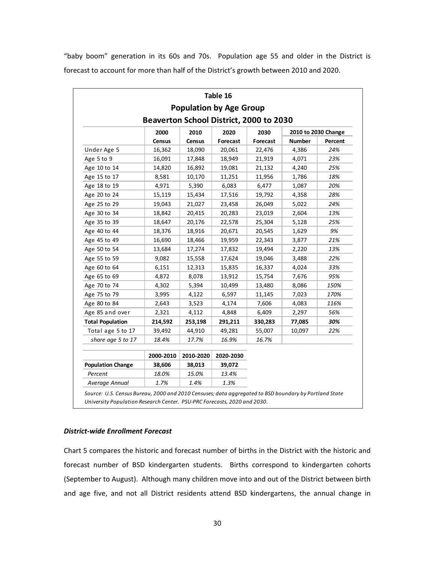"baby boom" generation in its 60s and 70s. Population age 55 and older in the District is forecast to account for more than half of the District's growth between 2010 and 2020.

|                          |                                         |               | Table 16                       |          |               |                     |
|--------------------------|-----------------------------------------|---------------|--------------------------------|----------|---------------|---------------------|
|                          |                                         |               | <b>Population by Age Group</b> |          |               |                     |
|                          | Beaverton School District, 2000 to 2030 |               |                                |          |               |                     |
|                          | 2000                                    | 2010          | 2020                           | 2030     |               | 2010 to 2030 Change |
|                          | <b>Census</b>                           | <b>Census</b> | Forecast                       | Forecast | <b>Number</b> | Percent             |
| Under Age 5              | 16,362                                  | 18,090        | 20,061                         | 22,476   | 4,386         | 24%                 |
| Age 5 to 9               | 16,091                                  | 17,848        | 18,949                         | 21,919   | 4,071         | 23%                 |
| Age 10 to 14             | 14,820                                  | 16,892        | 19,081                         | 21,132   | 4,240         | 25%                 |
| Age 15 to 17             | 8,581                                   | 10,170        | 11,251                         | 11,956   | 1,786         | 18%                 |
| Age 18 to 19             | 4,971                                   | 5,390         | 6,083                          | 6,477    | 1,087         | 20%                 |
| Age 20 to 24             | 15,119                                  | 15,434        | 17,516                         | 19,792   | 4,358         | 28%                 |
| Age 25 to 29             | 19,043                                  | 21,027        | 23,458                         | 26,049   | 5,022         | 24%                 |
| Age 30 to 34             | 18,842                                  | 20,415        | 20,283                         | 23,019   | 2,604         | 13%                 |
| Age 35 to 39             | 18,647                                  | 20,176        | 22,578                         | 25,304   | 5,128         | 25%                 |
| Age 40 to 44             | 18,376                                  | 18,916        | 20,671                         | 20,545   | 1,629         | 9%                  |
| Age 45 to 49             | 16,690                                  | 18,466        | 19,959                         | 22,343   | 3,877         | 21%                 |
| Age 50 to 54             | 13,684                                  | 17,274        | 17,832                         | 19,494   | 2,220         | 13%                 |
| Age 55 to 59             | 9,082                                   | 15,558        | 17,624                         | 19,046   | 3,488         | 22%                 |
| Age 60 to 64             | 6,151                                   | 12,313        | 15,835                         | 16,337   | 4,024         | 33%                 |
| Age 65 to 69             | 4,872                                   | 8,078         | 13,912                         | 15,754   | 7,676         | 95%                 |
| Age 70 to 74             | 4,302                                   | 5,394         | 10,499                         | 13,480   | 8,086         | 150%                |
| Age 75 to 79             | 3,995                                   | 4,122         | 6,597                          | 11,145   | 7,023         | 170%                |
| Age 80 to 84             | 2,643                                   | 3,523         | 4,174                          | 7,606    | 4,083         | 116%                |
| Age 85 and over          | 2,321                                   | 4,112         | 4,848                          | 6,409    | 2,297         | 56%                 |
| <b>Total Population</b>  | 214,592                                 | 253,198       | 291,211                        | 330,283  | 77,085        | 30%                 |
| Total age 5 to 17        | 39,492                                  | 44,910        | 49,281                         | 55,007   | 10,097        | 22%                 |
| share age 5 to 17        | 18.4%                                   | 17.7%         | 16.9%                          | 16.7%    |               |                     |
|                          | 2000-2010                               | 2010-2020     | 2020-2030                      |          |               |                     |
| <b>Population Change</b> | 38,606                                  | 38,013        | 39,072                         |          |               |                     |
| Percent                  | 18.0%                                   | 15.0%         | 13.4%                          |          |               |                     |
| Average Annual           | 1.7%                                    | 1.4%          | 1.3%                           |          |               |                     |

#### *District‐wide Enrollment Forecast*

Chart 5 compares the historic and forecast number of births in the District with the historic and forecast number of BSD kindergarten students. Births correspond to kindergarten cohorts (September to August). Although many children move into and out of the District between birth and age five, and not all District residents attend BSD kindergartens, the annual change in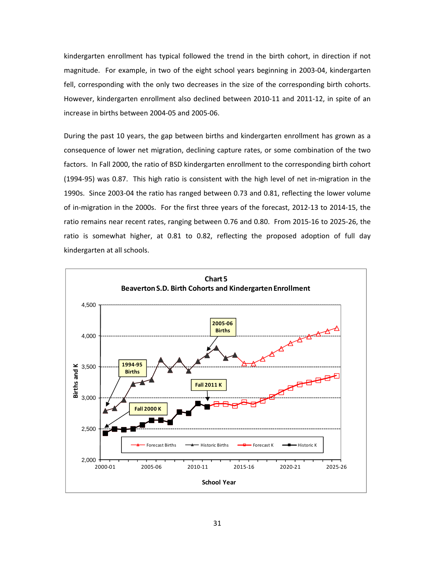kindergarten enrollment has typical followed the trend in the birth cohort, in direction if not magnitude. For example, in two of the eight school years beginning in 2003‐04, kindergarten fell, corresponding with the only two decreases in the size of the corresponding birth cohorts. However, kindergarten enrollment also declined between 2010‐11 and 2011‐12, in spite of an increase in births between 2004‐05 and 2005‐06.

During the past 10 years, the gap between births and kindergarten enrollment has grown as a consequence of lower net migration, declining capture rates, or some combination of the two factors. In Fall 2000, the ratio of BSD kindergarten enrollment to the corresponding birth cohort (1994‐95) was 0.87. This high ratio is consistent with the high level of net in‐migration in the 1990s. Since 2003‐04 the ratio has ranged between 0.73 and 0.81, reflecting the lower volume of in-migration in the 2000s. For the first three years of the forecast, 2012-13 to 2014-15, the ratio remains near recent rates, ranging between 0.76 and 0.80. From 2015‐16 to 2025‐26, the ratio is somewhat higher, at 0.81 to 0.82, reflecting the proposed adoption of full day kindergarten at all schools.

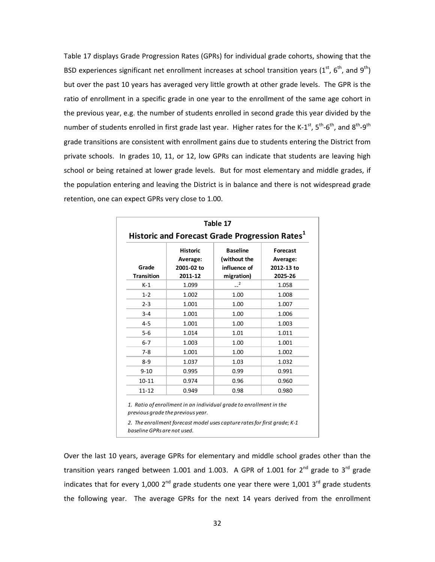Table 17 displays Grade Progression Rates (GPRs) for individual grade cohorts, showing that the BSD experiences significant net enrollment increases at school transition years (1<sup>st</sup>, 6<sup>th</sup>, and 9<sup>th</sup>) but over the past 10 years has averaged very little growth at other grade levels. The GPR is the ratio of enrollment in a specific grade in one year to the enrollment of the same age cohort in the previous year, e.g. the number of students enrolled in second grade this year divided by the number of students enrolled in first grade last year. Higher rates for the K-1<sup>st</sup>, 5<sup>th</sup>-6<sup>th</sup>, and 8<sup>th</sup>-9<sup>th</sup> grade transitions are consistent with enrollment gains due to students entering the District from private schools. In grades 10, 11, or 12, low GPRs can indicate that students are leaving high school or being retained at lower grade levels. But for most elementary and middle grades, if the population entering and leaving the District is in balance and there is not widespread grade retention, one can expect GPRs very close to 1.00.

| Grade<br><b>Transition</b> | <b>Historic</b><br>Average:<br>2001-02 to<br>2011-12 | <b>Baseline</b><br>(without the<br>influence of<br>migration) | <b>Forecast</b><br>Average:<br>2012-13 to<br>2025-26 |  |  |
|----------------------------|------------------------------------------------------|---------------------------------------------------------------|------------------------------------------------------|--|--|
| $K-1$                      | 1.099                                                | 2                                                             | 1.058                                                |  |  |
| $1 - 2$                    | 1.002                                                | 1.00                                                          | 1.008                                                |  |  |
| $2 - 3$                    | 1.001                                                | 1.00                                                          | 1.007                                                |  |  |
| $3 - 4$                    | 1.001                                                | 1.00                                                          | 1.006                                                |  |  |
| $4 - 5$                    | 1.001                                                | 1.00                                                          | 1.003                                                |  |  |
| $5 - 6$                    | 1.014                                                | 1.01                                                          | 1.011                                                |  |  |
| $6 - 7$                    | 1.003                                                | 1.00                                                          | 1.001                                                |  |  |
| $7 - 8$                    | 1.001                                                | 1.00                                                          | 1.002                                                |  |  |
| $8 - 9$                    | 1.037                                                | 1.03                                                          | 1.032                                                |  |  |
| $9 - 10$                   | 0.995                                                | 0.99                                                          | 0.991                                                |  |  |
| $10 - 11$                  | 0.974                                                | 0.96                                                          | 0.960                                                |  |  |
| $11 - 12$                  | 0.949                                                | 0.98                                                          | 0.980                                                |  |  |

Over the last 10 years, average GPRs for elementary and middle school grades other than the transition years ranged between 1.001 and 1.003. A GPR of 1.001 for  $2^{nd}$  grade to  $3^{rd}$  grade indicates that for every 1,000  $2^{nd}$  grade students one year there were 1,001  $3^{rd}$  grade students the following year. The average GPRs for the next 14 years derived from the enrollment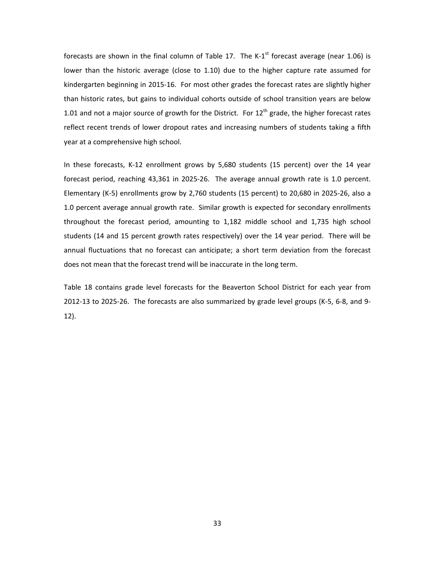forecasts are shown in the final column of Table 17. The K-1<sup>st</sup> forecast average (near 1.06) is lower than the historic average (close to 1.10) due to the higher capture rate assumed for kindergarten beginning in 2015‐16. For most other grades the forecast rates are slightly higher than historic rates, but gains to individual cohorts outside of school transition years are below 1.01 and not a major source of growth for the District. For  $12<sup>th</sup>$  grade, the higher forecast rates reflect recent trends of lower dropout rates and increasing numbers of students taking a fifth year at a comprehensive high school.

In these forecasts, K‐12 enrollment grows by 5,680 students (15 percent) over the 14 year forecast period, reaching 43,361 in 2025-26. The average annual growth rate is 1.0 percent. Elementary (K‐5) enrollments grow by 2,760 students (15 percent) to 20,680 in 2025‐26, also a 1.0 percent average annual growth rate. Similar growth is expected for secondary enrollments throughout the forecast period, amounting to 1,182 middle school and 1,735 high school students (14 and 15 percent growth rates respectively) over the 14 year period. There will be annual fluctuations that no forecast can anticipate; a short term deviation from the forecast does not mean that the forecast trend will be inaccurate in the long term.

Table 18 contains grade level forecasts for the Beaverton School District for each year from 2012‐13 to 2025‐26. The forecasts are also summarized by grade level groups (K‐5, 6‐8, and 9‐ 12).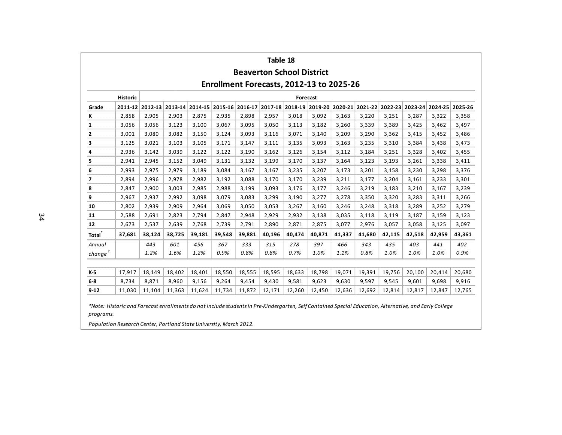|                     | Table 18<br><b>Beaverton School District</b> |        |        |        |        |        |                                                                                                         |        |        |        |        |        |        |                 |        |
|---------------------|----------------------------------------------|--------|--------|--------|--------|--------|---------------------------------------------------------------------------------------------------------|--------|--------|--------|--------|--------|--------|-----------------|--------|
|                     |                                              |        |        |        |        |        | Enrollment Forecasts, 2012-13 to 2025-26                                                                |        |        |        |        |        |        |                 |        |
|                     | <b>Historic</b><br>Forecast                  |        |        |        |        |        |                                                                                                         |        |        |        |        |        |        |                 |        |
| Grade               |                                              |        |        |        |        |        | 2011-12 2012-13 2013-14 2014-15 2015-16 2016-17 2017-18 2018-19 2019-20 2020-21 2021-22 2022-23 2023-24 |        |        |        |        |        |        | 2024-25 2025-26 |        |
| ĸ                   | 2,858                                        | 2,905  | 2,903  | 2,875  | 2,935  | 2,898  | 2,957                                                                                                   | 3,018  | 3,092  | 3,163  | 3,220  | 3,251  | 3,287  | 3,322           | 3,358  |
| 1                   | 3,056                                        | 3,056  | 3,123  | 3,100  | 3,067  | 3,095  | 3,050                                                                                                   | 3,113  | 3,182  | 3,260  | 3,339  | 3,389  | 3,425  | 3,462           | 3,497  |
| 2                   | 3,001                                        | 3,080  | 3,082  | 3,150  | 3,124  | 3,093  | 3,116                                                                                                   | 3,071  | 3,140  | 3,209  | 3,290  | 3,362  | 3,415  | 3,452           | 3,486  |
| 3                   | 3,125                                        | 3,021  | 3,103  | 3,105  | 3,171  | 3,147  | 3,111                                                                                                   | 3,135  | 3,093  | 3,163  | 3,235  | 3,310  | 3,384  | 3,438           | 3,473  |
| 4                   | 2,936                                        | 3,142  | 3,039  | 3,122  | 3,122  | 3,190  | 3,162                                                                                                   | 3,126  | 3,154  | 3,112  | 3,184  | 3,251  | 3,328  | 3,402           | 3,455  |
| 5                   | 2,941                                        | 2,945  | 3,152  | 3,049  | 3,131  | 3,132  | 3,199                                                                                                   | 3,170  | 3,137  | 3,164  | 3,123  | 3,193  | 3,261  | 3,338           | 3,411  |
| 6                   | 2,993                                        | 2,975  | 2,979  | 3,189  | 3,084  | 3,167  | 3,167                                                                                                   | 3,235  | 3,207  | 3,173  | 3,201  | 3,158  | 3,230  | 3,298           | 3,376  |
| 7                   | 2,894                                        | 2,996  | 2,978  | 2,982  | 3,192  | 3,088  | 3,170                                                                                                   | 3,170  | 3,239  | 3,211  | 3,177  | 3,204  | 3,161  | 3,233           | 3,301  |
| 8                   | 2,847                                        | 2,900  | 3,003  | 2,985  | 2,988  | 3,199  | 3,093                                                                                                   | 3,176  | 3,177  | 3,246  | 3,219  | 3,183  | 3,210  | 3,167           | 3,239  |
| 9                   | 2,967                                        | 2,937  | 2,992  | 3,098  | 3,079  | 3,083  | 3,299                                                                                                   | 3,190  | 3,277  | 3,278  | 3,350  | 3,320  | 3,283  | 3,311           | 3,266  |
| 10                  | 2,802                                        | 2,939  | 2,909  | 2,964  | 3,069  | 3,050  | 3,053                                                                                                   | 3,267  | 3,160  | 3,246  | 3,248  | 3,318  | 3,289  | 3,252           | 3,279  |
| 11                  | 2,588                                        | 2,691  | 2,823  | 2,794  | 2,847  | 2,948  | 2,929                                                                                                   | 2,932  | 3,138  | 3,035  | 3,118  | 3,119  | 3,187  | 3,159           | 3,123  |
| 12                  | 2,673                                        | 2,537  | 2,639  | 2,768  | 2,739  | 2,791  | 2,890                                                                                                   | 2,871  | 2,875  | 3,077  | 2,976  | 3,057  | 3,058  | 3,125           | 3,097  |
| Total <sup>*</sup>  | 37,681                                       | 38,124 | 38,725 | 39,181 | 39,548 | 39,881 | 40,196                                                                                                  | 40,474 | 40,871 | 41,337 | 41,680 | 42,115 | 42,518 | 42,959          | 43,361 |
| Annual              |                                              | 443    | 601    | 456    | 367    | 333    | 315                                                                                                     | 278    | 397    | 466    | 343    | 435    | 403    | 441             | 402    |
| change <sup>2</sup> |                                              | 1.2%   | 1.6%   | 1.2%   | 0.9%   | 0.8%   | 0.8%                                                                                                    | 0.7%   | 1.0%   | 1.1%   | 0.8%   | 1.0%   | 1.0%   | 1.0%            | 0.9%   |
|                     |                                              |        |        |        |        |        |                                                                                                         |        |        |        |        |        |        |                 |        |
| K-5                 | 17,917                                       | 18,149 | 18,402 | 18,401 | 18,550 | 18,555 | 18,595                                                                                                  | 18,633 | 18,798 | 19,071 | 19,391 | 19,756 | 20,100 | 20,414          | 20,680 |
| $6-8$               | 8,734                                        | 8,871  | 8,960  | 9,156  | 9,264  | 9,454  | 9,430                                                                                                   | 9,581  | 9,623  | 9,630  | 9,597  | 9,545  | 9,601  | 9,698           | 9,916  |
| $9 - 12$            | 11,030                                       | 11,104 | 11,363 | 11,624 | 11,734 | 11,872 | 12,171                                                                                                  | 12,260 | 12,450 | 12,636 | 12,692 | 12,814 | 12,817 | 12,847          | 12,765 |

*programs.*

*Population Research Center, Portland State University, March 2012.*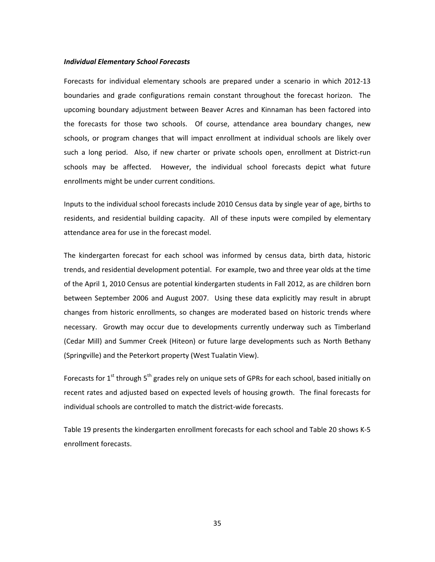#### *Individual Elementary School Forecasts*

Forecasts for individual elementary schools are prepared under a scenario in which 2012‐13 boundaries and grade configurations remain constant throughout the forecast horizon. The upcoming boundary adjustment between Beaver Acres and Kinnaman has been factored into the forecasts for those two schools. Of course, attendance area boundary changes, new schools, or program changes that will impact enrollment at individual schools are likely over such a long period. Also, if new charter or private schools open, enrollment at District-run schools may be affected. However, the individual school forecasts depict what future enrollments might be under current conditions.

Inputs to the individual school forecasts include 2010 Census data by single year of age, births to residents, and residential building capacity. All of these inputs were compiled by elementary attendance area for use in the forecast model.

The kindergarten forecast for each school was informed by census data, birth data, historic trends, and residential development potential. For example, two and three year olds at the time of the April 1, 2010 Census are potential kindergarten students in Fall 2012, as are children born between September 2006 and August 2007. Using these data explicitly may result in abrupt changes from historic enrollments, so changes are moderated based on historic trends where necessary. Growth may occur due to developments currently underway such as Timberland (Cedar Mill) and Summer Creek (Hiteon) or future large developments such as North Bethany (Springville) and the Peterkort property (West Tualatin View).

Forecasts for  $1^{st}$  through  $5^{th}$  grades rely on unique sets of GPRs for each school, based initially on recent rates and adjusted based on expected levels of housing growth. The final forecasts for individual schools are controlled to match the district-wide forecasts.

Table 19 presents the kindergarten enrollment forecasts for each school and Table 20 shows K‐5 enrollment forecasts.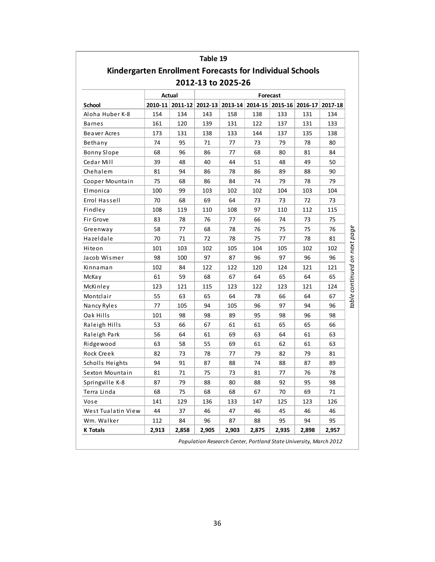|                                                                 |       |        | Table 19 |                                                         |       |          |       |         |
|-----------------------------------------------------------------|-------|--------|----------|---------------------------------------------------------|-------|----------|-------|---------|
| <b>Kindergarten Enrollment Forecasts for Individual Schools</b> |       |        |          |                                                         |       |          |       |         |
|                                                                 |       |        |          | 2012-13 to 2025-26                                      |       |          |       |         |
|                                                                 |       | Actual |          |                                                         |       | Forecast |       |         |
| School                                                          |       |        |          | 2010-11 2011-12 2012-13 2013-14 2014-15 2015-16 2016-17 |       |          |       | 2017-18 |
| Aloha Huber K-8                                                 | 154   | 134    | 143      | 158                                                     | 138   | 133      | 131   | 134     |
| <b>Barnes</b>                                                   | 161   | 120    | 139      | 131                                                     | 122   | 137      | 131   | 133     |
| Beaver Acres                                                    | 173   | 131    | 138      | 133                                                     | 144   | 137      | 135   | 138     |
| Bethany                                                         | 74    | 95     | 71       | 77                                                      | 73    | 79       | 78    | 80      |
| <b>Bonny Slope</b>                                              | 68    | 96     | 86       | 77                                                      | 68    | 80       | 81    | 84      |
| Cedar Mill                                                      | 39    | 48     | 40       | 44                                                      | 51    | 48       | 49    | 50      |
| Chehalem                                                        | 81    | 94     | 86       | 78                                                      | 86    | 89       | 88    | 90      |
| Cooper Mountain                                                 | 75    | 68     | 86       | 84                                                      | 74    | 79       | 78    | 79      |
| Elmonica                                                        | 100   | 99     | 103      | 102                                                     | 102   | 104      | 103   | 104     |
| Errol Hassell                                                   | 70    | 68     | 69       | 64                                                      | 73    | 73       | 72    | 73      |
| Findley                                                         | 108   | 119    | 110      | 108                                                     | 97    | 110      | 112   | 115     |
| Fir Grove                                                       | 83    | 78     | 76       | 77                                                      | 66    | 74       | 73    | 75      |
| Greenway                                                        | 58    | 77     | 68       | 78                                                      | 76    | 75       | 75    | 76      |
| Hazeldale                                                       | 70    | 71     | 72       | 78                                                      | 75    | 77       | 78    | 81      |
| Hiteon                                                          | 101   | 103    | 102      | 105                                                     | 104   | 105      | 102   | 102     |
| Jacob Wismer                                                    | 98    | 100    | 97       | 87                                                      | 96    | 97       | 96    | 96      |
| Kinnaman                                                        | 102   | 84     | 122      | 122                                                     | 120   | 124      | 121   | 121     |
| McKay                                                           | 61    | 59     | 68       | 67                                                      | 64    | 65       | 64    | 65      |
| McKinley                                                        | 123   | 121    | 115      | 123                                                     | 122   | 123      | 121   | 124     |
| Montclair                                                       | 55    | 63     | 65       | 64                                                      | 78    | 66       | 64    | 67      |
| Nancy Ryles                                                     | 77    | 105    | 94       | 105                                                     | 96    | 97       | 94    | 96      |
| Oak Hills                                                       | 101   | 98     | 98       | 89                                                      | 95    | 98       | 96    | 98      |
| Raleigh Hills                                                   | 53    | 66     | 67       | 61                                                      | 61    | 65       | 65    | 66      |
| Raleigh Park                                                    | 56    | 64     | 61       | 69                                                      | 63    | 64       | 61    | 63      |
| Ridgewood                                                       | 63    | 58     | 55       | 69                                                      | 61    | 62       | 61    | 63      |
| Rock Creek                                                      | 82    | 73     | 78       | 77                                                      | 79    | 82       | 79    | 81      |
| Scholls Heights                                                 | 94    | 91     | 87       | 88                                                      | 74    | 88       | 87    | 89      |
| Sexton Mountain                                                 | 81    | 71     | 75       | 73                                                      | 81    | 77       | 76    | 78      |
| Springville K-8                                                 | 87    | 79     | 88       | 80                                                      | 88    | 92       | 95    | 98      |
| Terra Linda                                                     | 68    | 75     | 68       | 68                                                      | 67    | 70       | 69    | 71      |
| Vose                                                            | 141   | 129    | 136      | 133                                                     | 147   | 125      | 123   | 126     |
| West Tualatin View                                              | 44    | 37     | 46       | 47                                                      | 46    | 45       | 46    | 46      |
| Wm. Walker                                                      | 112   | 84     | 96       | 87                                                      | 88    | 95       | 94    | 95      |
| <b>K</b> Totals                                                 | 2,913 | 2,858  | 2,905    | 2,903                                                   | 2,875 | 2,935    | 2,898 | 2,957   |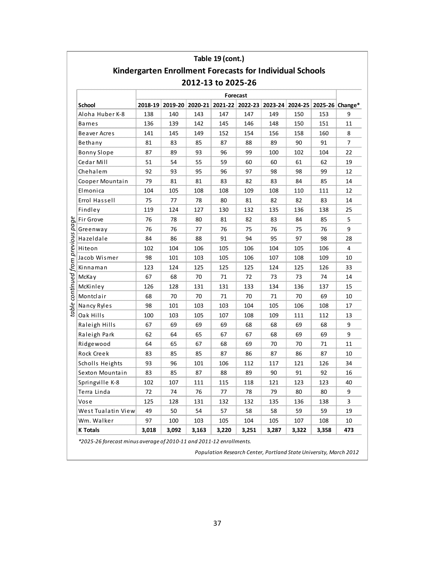|                              |                    |       |                                                                 |                    | Table 19 (cont.) |                 |       |       |       |                                                                         |
|------------------------------|--------------------|-------|-----------------------------------------------------------------|--------------------|------------------|-----------------|-------|-------|-------|-------------------------------------------------------------------------|
|                              |                    |       | <b>Kindergarten Enrollment Forecasts for Individual Schools</b> |                    |                  |                 |       |       |       |                                                                         |
|                              |                    |       |                                                                 | 2012-13 to 2025-26 |                  |                 |       |       |       |                                                                         |
|                              |                    |       |                                                                 |                    |                  | <b>Forecast</b> |       |       |       |                                                                         |
|                              | <b>School</b>      |       |                                                                 |                    |                  |                 |       |       |       | 2018-19 2019-20 2020-21 2021-22 2022-23 2023-24 2024-25 2025-26 Change* |
|                              | Aloha Huber K-8    | 138   | 140                                                             | 143                | 147              | 147             | 149   | 150   | 153   | 9                                                                       |
|                              | Barnes             | 136   | 139                                                             | 142                | 145              | 146             | 148   | 150   | 151   | 11                                                                      |
|                              | Beaver Acres       | 141   | 145                                                             | 149                | 152              | 154             | 156   | 158   | 160   | 8                                                                       |
|                              | Bethany            | 81    | 83                                                              | 85                 | 87               | 88              | 89    | 90    | 91    | 7                                                                       |
|                              | <b>Bonny Slope</b> | 87    | 89                                                              | 93                 | 96               | 99              | 100   | 102   | 104   | 22                                                                      |
|                              | Cedar Mill         | 51    | 54                                                              | 55                 | 59               | 60              | 60    | 61    | 62    | 19                                                                      |
|                              | Chehalem           | 92    | 93                                                              | 95                 | 96               | 97              | 98    | 98    | 99    | 12                                                                      |
|                              | Cooper Mountain    | 79    | 81                                                              | 81                 | 83               | 82              | 83    | 84    | 85    | 14                                                                      |
|                              | Elmonica           | 104   | 105                                                             | 108                | 108              | 109             | 108   | 110   | 111   | 12                                                                      |
|                              | Errol Hassell      | 75    | 77                                                              | 78                 | 80               | 81              | 82    | 82    | 83    | 14                                                                      |
|                              | Findley            | 119   | 124                                                             | 127                | 130              | 132             | 135   | 136   | 138   | 25                                                                      |
|                              | Fir Grove          | 76    | 78                                                              | 80                 | 81               | 82              | 83    | 84    | 85    | 5                                                                       |
|                              | Greenway           | 76    | 76                                                              | 77                 | 76               | 75              | 76    | 75    | 76    | 9                                                                       |
|                              | Hazeldale          | 84    | 86                                                              | 88                 | 91               | 94              | 95    | 97    | 98    | 28                                                                      |
|                              | Hiteon             | 102   | 104                                                             | 106                | 105              | 106             | 104   | 105   | 106   | 4                                                                       |
|                              | Jacob Wismer       | 98    | 101                                                             | 103                | 105              | 106             | 107   | 108   | 109   | 10                                                                      |
|                              | Kinnaman           | 123   | 124                                                             | 125                | 125              | 125             | 124   | 125   | 126   | 33                                                                      |
| continued from previous page | McKay              | 67    | 68                                                              | 70                 | 71               | 72              | 73    | 73    | 74    | 14                                                                      |
|                              | McKinley           | 126   | 128                                                             | 131                | 131              | 133             | 134   | 136   | 137   | 15                                                                      |
|                              | Montclair          | 68    | 70                                                              | 70                 | 71               | 70              | 71    | 70    | 69    | 10                                                                      |
|                              | Nancy Ryles        | 98    | 101                                                             | 103                | 103              | 104             | 105   | 106   | 108   | 17                                                                      |
| table                        | Oak Hills          | 100   | 103                                                             | 105                | 107              | 108             | 109   | 111   | 112   | 13                                                                      |
|                              | Raleigh Hills      | 67    | 69                                                              | 69                 | 69               | 68              | 68    | 69    | 68    | 9                                                                       |
|                              | Raleigh Park       | 62    | 64                                                              | 65                 | 67               | 67              | 68    | 69    | 69    | 9                                                                       |
|                              | Ridgewood          | 64    | 65                                                              | 67                 | 68               | 69              | 70    | 70    | 71    | 11                                                                      |
|                              | Rock Creek         | 83    | 85                                                              | 85                 | 87               | 86              | 87    | 86    | 87    | 10                                                                      |
|                              | Scholls Heights    | 93    | 96                                                              | 101                | 106              | 112             | 117   | 121   | 126   | 34                                                                      |
|                              | Sexton Mountain    | 83    | 85                                                              | 87                 | 88               | 89              | 90    | 91    | 92    | 16                                                                      |
|                              | Springville K-8    | 102   | 107                                                             | 111                | 115              | 118             | 121   | 123   | 123   | 40                                                                      |
|                              | Terra Linda        | 72    | 74                                                              | 76                 | 77               | 78              | 79    | 80    | 80    | 9                                                                       |
|                              | Vose               | 125   | 128                                                             | 131                | 132              | 132             | 135   | 136   | 138   | 3                                                                       |
|                              | West Tualatin View | 49    | 50                                                              | 54                 | 57               | 58              | 58    | 59    | 59    | 19                                                                      |
|                              | Wm. Walker         | 97    | 100                                                             | 103                | 105              | 104             | 105   | 107   | 108   | 10                                                                      |
|                              | <b>K</b> Totals    | 3,018 | 3,092                                                           | 3,163              | 3,220            | 3,251           | 3,287 | 3,322 | 3,358 | 473                                                                     |
|                              |                    |       | $m$ crass of 2010 11 and 2011 12 enrollments                    |                    |                  |                 |       |       |       |                                                                         |

\*2025-26 forecast minus average of 2010-11 and 2011-12 enrollments.

Population Research Center, Portland State University, March 2012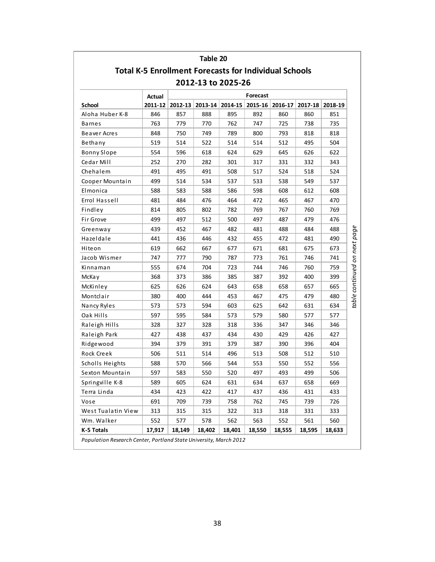|                                                              |        |                 | Table 20 |                    |          |                 |        |                 |
|--------------------------------------------------------------|--------|-----------------|----------|--------------------|----------|-----------------|--------|-----------------|
| <b>Total K-5 Enrollment Forecasts for Individual Schools</b> |        |                 |          |                    |          |                 |        |                 |
|                                                              |        |                 |          | 2012-13 to 2025-26 |          |                 |        |                 |
|                                                              | Actual |                 |          |                    | Forecast |                 |        |                 |
| School                                                       |        | 2011-12 2012-13 |          | 2013-14 2014-15    |          | 2015-16 2016-17 |        | 2017-18 2018-19 |
| Aloha Huber K-8                                              | 846    | 857             | 888      | 895                | 892      | 860             | 860    | 851             |
| Barnes                                                       | 763    | 779             | 770      | 762                | 747      | 725             | 738    | 735             |
| Beaver Acres                                                 | 848    | 750             | 749      | 789                | 800      | 793             | 818    | 818             |
| Bethany                                                      | 519    | 514             | 522      | 514                | 514      | 512             | 495    | 504             |
| <b>Bonny Slope</b>                                           | 554    | 596             | 618      | 624                | 629      | 645             | 626    | 622             |
| Cedar Mill                                                   | 252    | 270             | 282      | 301                | 317      | 331             | 332    | 343             |
| Chehalem                                                     | 491    | 495             | 491      | 508                | 517      | 524             | 518    | 524             |
| Cooper Mountain                                              | 499    | 514             | 534      | 537                | 533      | 538             | 549    | 537             |
| Elmonica                                                     | 588    | 583             | 588      | 586                | 598      | 608             | 612    | 608             |
| Errol Hassell                                                | 481    | 484             | 476      | 464                | 472      | 465             | 467    | 470             |
| Findley                                                      | 814    | 805             | 802      | 782                | 769      | 767             | 760    | 769             |
| Fir Grove                                                    | 499    | 497             | 512      | 500                | 497      | 487             | 479    | 476             |
| Greenway                                                     | 439    | 452             | 467      | 482                | 481      | 488             | 484    | 488             |
| Hazeldale                                                    | 441    | 436             | 446      | 432                | 455      | 472             | 481    | 490             |
| Hiteon                                                       | 619    | 662             | 667      | 677                | 671      | 681             | 675    | 673             |
| Jacob Wismer                                                 | 747    | 777             | 790      | 787                | 773      | 761             | 746    | 741             |
| Kinnaman                                                     | 555    | 674             | 704      | 723                | 744      | 746             | 760    | 759             |
| McKay                                                        | 368    | 373             | 386      | 385                | 387      | 392             | 400    | 399             |
| McKinley                                                     | 625    | 626             | 624      | 643                | 658      | 658             | 657    | 665             |
| Montclair                                                    | 380    | 400             | 444      | 453                | 467      | 475             | 479    | 480             |
| Nancy Ryles                                                  | 573    | 573             | 594      | 603                | 625      | 642             | 631    | 634             |
| Oak Hills                                                    | 597    | 595             | 584      | 573                | 579      | 580             | 577    | 577             |
| Raleigh Hills                                                | 328    | 327             | 328      | 318                | 336      | 347             | 346    | 346             |
| Raleigh Park                                                 | 427    | 438             | 437      | 434                | 430      | 429             | 426    | 427             |
| Ridgewood                                                    | 394    | 379             | 391      | 379                | 387      | 390             | 396    | 404             |
| Rock Creek                                                   | 506    | 511             | 514      | 496                | 513      | 508             | 512    | 510             |
| Scholls Heights                                              | 588    | 570             | 566      | 544                | 553      | 550             | 552    | 556             |
| Sexton Mountain                                              | 597    | 583             | 550      | 520                | 497      | 493             | 499    | 506             |
| Springville K-8                                              | 589    | 605             | 624      | 631                | 634      | 637             | 658    | 669             |
| Terra Linda                                                  | 434    | 423             | 422      | 417                | 437      | 436             | 431    | 433             |
| Vose                                                         | 691    | 709             | 739      | 758                | 762      | 745             | 739    | 726             |
| West Tualatin View                                           | 313    | 315             | 315      | 322                | 313      | 318             | 331    | 333             |
| Wm. Walker                                                   | 552    | 577             | 578      | 562                | 563      | 552             | 561    | 560             |
| K-5 Totals                                                   | 17,917 | 18,149          | 18,402   | 18,401             | 18,550   | 18,555          | 18,595 | 18,633          |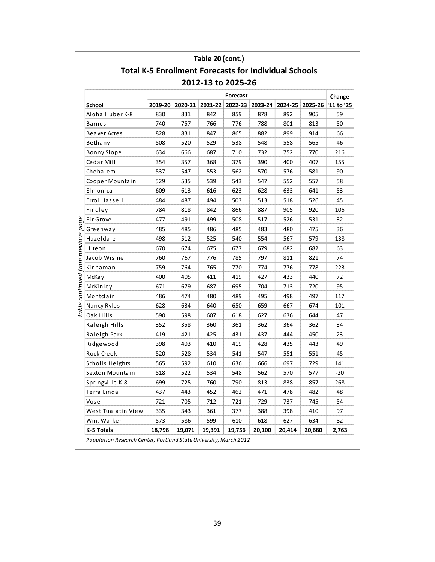|                                                 |                                                              |         | Table 20 (cont.) |                                       |        |        |         |            |
|-------------------------------------------------|--------------------------------------------------------------|---------|------------------|---------------------------------------|--------|--------|---------|------------|
|                                                 | <b>Total K-5 Enrollment Forecasts for Individual Schools</b> |         |                  |                                       |        |        |         |            |
|                                                 |                                                              |         |                  | 2012-13 to 2025-26                    |        |        |         |            |
|                                                 |                                                              |         |                  | Forecast                              |        |        |         | Change     |
| School                                          | 2019-20                                                      | 2020-21 |                  | 2021-22   2022-23   2023-24   2024-25 |        |        | 2025-26 | '11 to '25 |
| Aloha Huber K-8                                 | 830                                                          | 831     | 842              | 859                                   | 878    | 892    | 905     | 59         |
| <b>Barnes</b>                                   | 740                                                          | 757     | 766              | 776                                   | 788    | 801    | 813     | 50         |
| Beaver Acres                                    | 828                                                          | 831     | 847              | 865                                   | 882    | 899    | 914     | 66         |
| Bethany                                         | 508                                                          | 520     | 529              | 538                                   | 548    | 558    | 565     | 46         |
| <b>Bonny Slope</b>                              | 634                                                          | 666     | 687              | 710                                   | 732    | 752    | 770     | 216        |
| Cedar Mill                                      | 354                                                          | 357     | 368              | 379                                   | 390    | 400    | 407     | 155        |
| Chehalem                                        | 537                                                          | 547     | 553              | 562                                   | 570    | 576    | 581     | 90         |
| Cooper Mountain                                 | 529                                                          | 535     | 539              | 543                                   | 547    | 552    | 557     | 58         |
| Elmonica                                        | 609                                                          | 613     | 616              | 623                                   | 628    | 633    | 641     | 53         |
| Errol Hassell                                   | 484                                                          | 487     | 494              | 503                                   | 513    | 518    | 526     | 45         |
| Findley                                         | 784                                                          | 818     | 842              | 866                                   | 887    | 905    | 920     | 106        |
| Fir Grove                                       | 477                                                          | 491     | 499              | 508                                   | 517    | 526    | 531     | 32         |
| Greenway                                        | 485                                                          | 485     | 486              | 485                                   | 483    | 480    | 475     | 36         |
| Hazeldale                                       | 498                                                          | 512     | 525              | 540                                   | 554    | 567    | 579     | 138        |
| Hiteon                                          | 670                                                          | 674     | 675              | 677                                   | 679    | 682    | 682     | 63         |
| Jacob Wismer                                    | 760                                                          | 767     | 776              | 785                                   | 797    | 811    | 821     | 74         |
| Kinnaman                                        | 759                                                          | 764     | 765              | 770                                   | 774    | 776    | 778     | 223        |
| McKay                                           | 400                                                          | 405     | 411              | 419                                   | 427    | 433    | 440     | 72         |
| McKinley                                        | 671                                                          | 679     | 687              | 695                                   | 704    | 713    | 720     | 95         |
| table continued from previous page<br>Montclair | 486                                                          | 474     | 480              | 489                                   | 495    | 498    | 497     | 117        |
| Nancy Ryles                                     | 628                                                          | 634     | 640              | 650                                   | 659    | 667    | 674     | 101        |
| Oak Hills                                       | 590                                                          | 598     | 607              | 618                                   | 627    | 636    | 644     | 47         |
| Raleigh Hills                                   | 352                                                          | 358     | 360              | 361                                   | 362    | 364    | 362     | 34         |
| Raleigh Park                                    | 419                                                          | 421     | 425              | 431                                   | 437    | 444    | 450     | 23         |
| Ridgewood                                       | 398                                                          | 403     | 410              | 419                                   | 428    | 435    | 443     | 49         |
| Rock Creek                                      | 520                                                          | 528     | 534              | 541                                   | 547    | 551    | 551     | 45         |
| Scholls Heights                                 | 565                                                          | 592     | 610              | 636                                   | 666    | 697    | 729     | 141        |
| Sexton Mountain                                 | 518                                                          | 522     | 534              | 548                                   | 562    | 570    | 577     | $-20$      |
| Springville K-8                                 | 699                                                          | 725     | 760              | 790                                   | 813    | 838    | 857     | 268        |
| Terra Linda                                     | 437                                                          | 443     | 452              | 462                                   | 471    | 478    | 482     | 48         |
| Vose                                            | 721                                                          | 705     | 712              | 721                                   | 729    | 737    | 745     | 54         |
| West Tualatin View                              | 335                                                          | 343     | 361              | 377                                   | 388    | 398    | 410     | 97         |
| Wm. Walker                                      | 573                                                          | 586     | 599              | 610                                   | 618    | 627    | 634     | 82         |
| K-5 Totals                                      | 18,798                                                       | 19,071  | 19,391           | 19,756                                | 20,100 | 20,414 | 20,680  | 2,763      |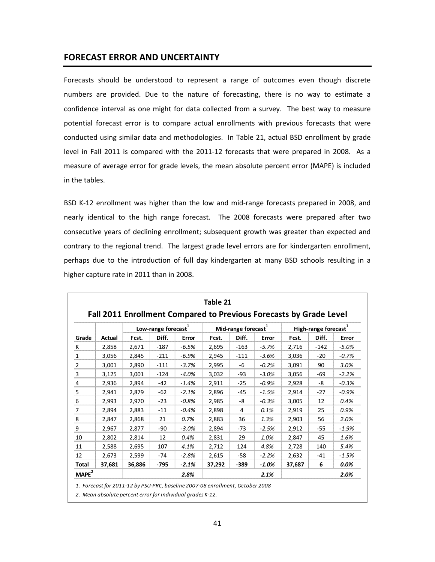#### **FORECAST ERROR AND UNCERTAINTY**

Forecasts should be understood to represent a range of outcomes even though discrete numbers are provided. Due to the nature of forecasting, there is no way to estimate a confidence interval as one might for data collected from a survey. The best way to measure potential forecast error is to compare actual enrollments with previous forecasts that were conducted using similar data and methodologies. In Table 21, actual BSD enrollment by grade level in Fall 2011 is compared with the 2011-12 forecasts that were prepared in 2008. As a measure of average error for grade levels, the mean absolute percent error (MAPE) is included in the tables.

BSD K-12 enrollment was higher than the low and mid-range forecasts prepared in 2008, and nearly identical to the high range forecast. The 2008 forecasts were prepared after two consecutive years of declining enrollment; subsequent growth was greater than expected and contrary to the regional trend. The largest grade level errors are for kindergarten enrollment, perhaps due to the introduction of full day kindergarten at many BSD schools resulting in a higher capture rate in 2011 than in 2008.

|                         |        | Low-range forecast <sup>1</sup> |        |         | Mid-range forecast <sup>1</sup> |        |         | High-range forecast <sup>1</sup> |        |         |
|-------------------------|--------|---------------------------------|--------|---------|---------------------------------|--------|---------|----------------------------------|--------|---------|
| Grade                   | Actual | Fcst.                           | Diff.  | Error   | Fcst.                           | Diff.  | Error   | Fcst.                            | Diff.  | Error   |
| К                       | 2,858  | 2,671                           | $-187$ | $-6.5%$ | 2,695                           | $-163$ | $-5.7%$ | 2,716                            | $-142$ | $-5.0%$ |
| $\mathbf{1}$            | 3,056  | 2,845                           | $-211$ | $-6.9%$ | 2,945                           | $-111$ | $-3.6%$ | 3,036                            | $-20$  | $-0.7%$ |
| $\overline{2}$          | 3,001  | 2,890                           | $-111$ | $-3.7%$ | 2,995                           | -6     | $-0.2%$ | 3,091                            | 90     | 3.0%    |
| 3                       | 3,125  | 3,001                           | $-124$ | $-4.0%$ | 3,032                           | $-93$  | $-3.0%$ | 3,056                            | $-69$  | $-2.2%$ |
| 4                       | 2,936  | 2,894                           | $-42$  | $-1.4%$ | 2,911                           | $-25$  | $-0.9%$ | 2,928                            | -8     | $-0.3%$ |
| 5                       | 2,941  | 2,879                           | $-62$  | $-2.1%$ | 2,896                           | $-45$  | $-1.5%$ | 2,914                            | $-27$  | $-0.9%$ |
| $6\phantom{1}6$         | 2,993  | 2,970                           | $-23$  | $-0.8%$ | 2,985                           | -8     | $-0.3%$ | 3,005                            | 12     | 0.4%    |
| $\overline{7}$          | 2,894  | 2,883                           | $-11$  | $-0.4%$ | 2,898                           | 4      | 0.1%    | 2,919                            | 25     | 0.9%    |
| $\overline{\mathbf{8}}$ | 2,847  | 2,868                           | 21     | 0.7%    | 2,883                           | 36     | 1.3%    | 2,903                            | 56     | 2.0%    |
| 9                       | 2,967  | 2,877                           | $-90$  | $-3.0%$ | 2,894                           | $-73$  | $-2.5%$ | 2,912                            | -55    | $-1.9%$ |
| 10                      | 2,802  | 2,814                           | 12     | 0.4%    | 2,831                           | 29     | 1.0%    | 2,847                            | 45     | 1.6%    |
| 11                      | 2,588  | 2,695                           | 107    | 4.1%    | 2,712                           | 124    | 4.8%    | 2,728                            | 140    | 5.4%    |
| 12                      | 2,673  | 2,599                           | $-74$  | $-2.8%$ | 2,615                           | $-58$  | $-2.2%$ | 2,632                            | $-41$  | $-1.5%$ |
| Total                   | 37,681 | 36,886                          | -795   | $-2.1%$ | 37,292                          | -389   | $-1.0%$ | 37,687                           | 6      | 0.0%    |
| MAPE <sup>2</sup>       |        |                                 |        | 2.8%    |                                 |        | 2.1%    |                                  |        | 2.0%    |

*1. Forecast for 2011‐12 by PSU‐PRC, baseline 2007‐08 enrollment, October 2008*

*2. Mean absolute percent error for individual grades K‐12.*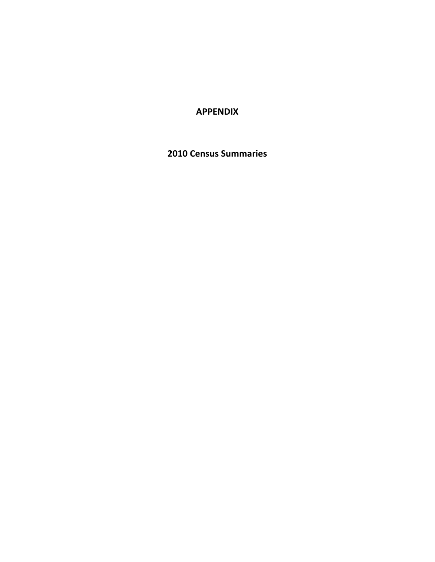### **APPENDIX**

**2010 Census Summaries**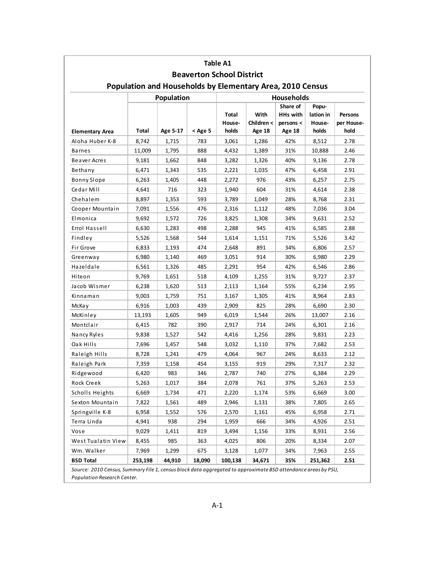|                        |         |                                                           |         | Table A1                         |                    |                                          |                              |                              |
|------------------------|---------|-----------------------------------------------------------|---------|----------------------------------|--------------------|------------------------------------------|------------------------------|------------------------------|
|                        |         |                                                           |         | <b>Beaverton School District</b> |                    |                                          |                              |                              |
|                        |         | Population and Households by Elementary Area, 2010 Census |         |                                  |                    |                                          |                              |                              |
|                        |         | Population                                                |         |                                  |                    | <b>Households</b>                        |                              |                              |
|                        |         |                                                           |         | Total<br>House-                  | With<br>Children < | Share of<br><b>HHs with</b><br>persons < | Popu-<br>lation in<br>House- | <b>Persons</b><br>per House- |
| <b>Elementary Area</b> | Total   | Age 5-17                                                  | < Age 5 | holds                            | Age 18             | <b>Age 18</b>                            | holds                        | hold                         |
| Aloha Huber K-8        | 8,742   | 1,715                                                     | 783     | 3,061                            | 1,286              | 42%                                      | 8,512                        | 2.78                         |
| <b>Barnes</b>          | 11,009  | 1,795                                                     | 888     | 4,432                            | 1,389              | 31%                                      | 10,888                       | 2.46                         |
| Beaver Acres           | 9,181   | 1,662                                                     | 848     | 3,282                            | 1,326              | 40%                                      | 9,136                        | 2.78                         |
| Bethany                | 6,471   | 1,343                                                     | 535     | 2,221                            | 1,035              | 47%                                      | 6,458                        | 2.91                         |
| <b>Bonny Slope</b>     | 6,263   | 1,405                                                     | 448     | 2,272                            | 976                | 43%                                      | 6,257                        | 2.75                         |
| Cedar Mill             | 4,641   | 716                                                       | 323     | 1,940                            | 604                | 31%                                      | 4,614                        | 2.38                         |
| Chehalem               | 8,897   | 1,353                                                     | 593     | 3,789                            | 1,049              | 28%                                      | 8,768                        | 2.31                         |
| Cooper Mountain        | 7,091   | 1,556                                                     | 476     | 2,316                            | 1,112              | 48%                                      | 7,036                        | 3.04                         |
| Elmonica               | 9,692   | 1,572                                                     | 726     | 3,825                            | 1,308              | 34%                                      | 9,631                        | 2.52                         |
| Errol Hassell          | 6,630   | 1,283                                                     | 498     | 2,288                            | 945                | 41%                                      | 6,585                        | 2.88                         |
| Findley                | 5,526   | 1,568                                                     | 544     | 1,614                            | 1,151              | 71%                                      | 5,526                        | 3.42                         |
| Fir Grove              | 6,833   | 1,193                                                     | 474     | 2,648                            | 891                | 34%                                      | 6,806                        | 2.57                         |
| Greenway               | 6,980   | 1,140                                                     | 469     | 3,051                            | 914                | 30%                                      | 6,980                        | 2.29                         |
| Hazeldale              | 6,561   | 1,326                                                     | 485     | 2,291                            | 954                | 42%                                      | 6,546                        | 2.86                         |
| Hiteon                 | 9,769   | 1,651                                                     | 518     | 4,109                            | 1,255              | 31%                                      | 9,727                        | 2.37                         |
| Jacob Wismer           | 6,238   | 1,620                                                     | 513     | 2,113                            | 1,164              | 55%                                      | 6,234                        | 2.95                         |
| Kinnaman               | 9,003   | 1,759                                                     | 751     | 3,167                            | 1,305              | 41%                                      | 8,964                        | 2.83                         |
| McKa y                 | 6,916   | 1,003                                                     | 439     | 2,909                            | 825                | 28%                                      | 6,690                        | 2.30                         |
| McKinley               | 13,193  | 1,605                                                     | 949     | 6,019                            | 1,544              | 26%                                      | 13,007                       | 2.16                         |
| Montclair              | 6,415   | 782                                                       | 390     | 2,917                            | 714                | 24%                                      | 6,301                        | 2.16                         |
| Nancy Ryles            | 9,838   | 1,527                                                     | 542     | 4,416                            | 1,256              | 28%                                      | 9,831                        | 2.23                         |
| Oak Hills              | 7,696   | 1,457                                                     | 548     | 3,032                            | 1,110              | 37%                                      | 7,682                        | 2.53                         |
| Raleigh Hills          | 8,728   | 1,241                                                     | 479     | 4,064                            | 967                | 24%                                      | 8,633                        | 2.12                         |
| Raleigh Park           | 7,359   | 1,158                                                     | 454     | 3,155                            | 919                | 29%                                      | 7,317                        | 2.32                         |
| Ridgewood              | 6,420   | 983                                                       | 346     | 2,787                            | 740                | 27%                                      | 6,384                        | 2.29                         |
| Rock Creek             | 5,263   | 1,017                                                     | 384     | 2,078                            | 761                | 37%                                      | 5,263                        | 2.53                         |
| Scholls Heights        | 6,669   | 1,734                                                     | 471     | 2,220                            | 1,174              | 53%                                      | 6,669                        | 3.00                         |
| Sexton Mountain        | 7,822   | 1,561                                                     | 489     | 2,946                            | 1,131              | 38%                                      | 7,805                        | 2.65                         |
| Springville K-8        | 6,958   | 1,552                                                     | 576     | 2,570                            | 1,161              | 45%                                      | 6,958                        | 2.71                         |
| Terra Linda            | 4,941   | 938                                                       | 294     | 1,959                            | 666                | 34%                                      | 4,926                        | 2.51                         |
| Vose                   | 9,029   | 1,411                                                     | 819     | 3,494                            | 1,156              | 33%                                      | 8,931                        | 2.56                         |
| West Tualatin View     | 8,455   | 985                                                       | 363     | 4,025                            | 806                | 20%                                      | 8,334                        | 2.07                         |
| Wm. Walker             | 7,969   | 1,299                                                     | 675     | 3,128                            | 1,077              | 34%                                      | 7,963                        | 2.55                         |
| <b>BSD Total</b>       | 253,198 | 44,910                                                    | 18,090  | 100,138                          | 34,671             | 35%                                      | 251,362                      | 2.51                         |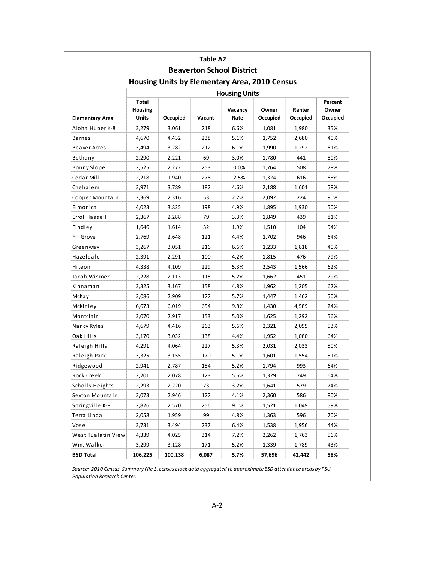|                        |                           |                                                      | Table A2 |                                  |                   |                    |                              |
|------------------------|---------------------------|------------------------------------------------------|----------|----------------------------------|-------------------|--------------------|------------------------------|
|                        |                           |                                                      |          | <b>Beaverton School District</b> |                   |                    |                              |
|                        |                           | <b>Housing Units by Elementary Area, 2010 Census</b> |          |                                  |                   |                    |                              |
|                        |                           |                                                      |          | <b>Housing Units</b>             |                   |                    |                              |
| <b>Elementary Area</b> | Total<br>Housing<br>Units | Occupied                                             | Vacant   | Vacancy<br>Rate                  | Owner<br>Occupied | Renter<br>Occupied | Percent<br>Owner<br>Occupied |
| Aloha Huber K-8        | 3,279                     | 3,061                                                | 218      | 6.6%                             | 1,081             | 1,980              | 35%                          |
| Barnes                 | 4,670                     | 4,432                                                | 238      | 5.1%                             | 1,752             | 2,680              | 40%                          |
| Beaver Acres           | 3,494                     | 3,282                                                | 212      | 6.1%                             | 1,990             | 1,292              | 61%                          |
| Bethany                | 2,290                     | 2,221                                                | 69       | 3.0%                             | 1,780             | 441                | 80%                          |
| <b>Bonny Slope</b>     | 2,525                     | 2,272                                                | 253      | 10.0%                            | 1,764             | 508                | 78%                          |
| Cedar Mill             | 2,218                     | 1,940                                                | 278      | 12.5%                            | 1,324             | 616                | 68%                          |
| Chehalem               | 3,971                     | 3,789                                                | 182      | 4.6%                             | 2,188             | 1,601              | 58%                          |
| Cooper Mountain        | 2,369                     | 2,316                                                | 53       | 2.2%                             | 2,092             | 224                | 90%                          |
| Elmonica               | 4,023                     | 3,825                                                | 198      | 4.9%                             | 1,895             | 1,930              | 50%                          |
| Errol Hassell          | 2,367                     | 2,288                                                | 79       | 3.3%                             | 1,849             | 439                | 81%                          |
| Findley                | 1,646                     | 1,614                                                | 32       | 1.9%                             | 1,510             | 104                | 94%                          |
| Fir Grove              | 2,769                     | 2,648                                                | 121      | 4.4%                             | 1,702             | 946                | 64%                          |
| Greenway               | 3,267                     | 3,051                                                | 216      | 6.6%                             | 1,233             | 1,818              | 40%                          |
| Hazeldale              | 2,391                     | 2,291                                                | 100      | 4.2%                             | 1,815             | 476                | 79%                          |
| Hiteon                 | 4,338                     | 4,109                                                | 229      | 5.3%                             | 2,543             | 1,566              | 62%                          |
| Jacob Wismer           | 2,228                     | 2,113                                                | 115      | 5.2%                             | 1,662             | 451                | 79%                          |
| Kinnaman               | 3,325                     | 3,167                                                | 158      | 4.8%                             | 1,962             | 1,205              | 62%                          |
| McKa y                 | 3,086                     | 2,909                                                | 177      | 5.7%                             | 1,447             | 1,462              | 50%                          |
| McKinley               | 6,673                     | 6,019                                                | 654      | 9.8%                             | 1,430             | 4,589              | 24%                          |
| Montclair              | 3,070                     | 2,917                                                | 153      | 5.0%                             | 1,625             | 1,292              | 56%                          |
| Nancy Ryles            | 4,679                     | 4,416                                                | 263      | 5.6%                             | 2,321             | 2,095              | 53%                          |
| Oak Hills              | 3,170                     | 3,032                                                | 138      | 4.4%                             | 1,952             | 1,080              | 64%                          |
| Raleigh Hills          | 4,291                     | 4,064                                                | 227      | 5.3%                             | 2,031             | 2,033              | 50%                          |
| Raleigh Park           | 3,325                     | 3,155                                                | 170      | 5.1%                             | 1,601             | 1,554              | 51%                          |
| Ridgewood              | 2,941                     | 2,787                                                | 154      | 5.2%                             | 1,794             | 993                | 64%                          |
| Rock Creek             | 2,201                     | 2,078                                                | 123      | 5.6%                             | 1,329             | 749                | 64%                          |
| Scholls Heights        | 2,293                     | 2,220                                                | 73       | 3.2%                             | 1,641             | 579                | 74%                          |
| Sexton Mountain        | 3,073                     | 2,946                                                | 127      | 4.1%                             | 2,360             | 586                | 80%                          |
| Springville K-8        | 2,826                     | 2,570                                                | 256      | 9.1%                             | 1,521             | 1,049              | 59%                          |
| Terra Linda            | 2,058                     | 1,959                                                | 99       | 4.8%                             | 1,363             | 596                | 70%                          |
| Vose                   | 3,731                     | 3,494                                                | 237      | 6.4%                             | 1,538             | 1,956              | 44%                          |
| West Tualatin View     | 4,339                     | 4,025                                                | 314      | 7.2%                             | 2,262             | 1,763              | 56%                          |
| Wm. Walker             | 3,299                     | 3,128                                                | 171      | 5.2%                             | 1,339             | 1,789              | 43%                          |
| <b>BSD Total</b>       | 106,225                   | 100,138                                              | 6,087    | 5.7%                             | 57,696            | 42,442             | 58%                          |

aggregi app by PSU, Population Research Center.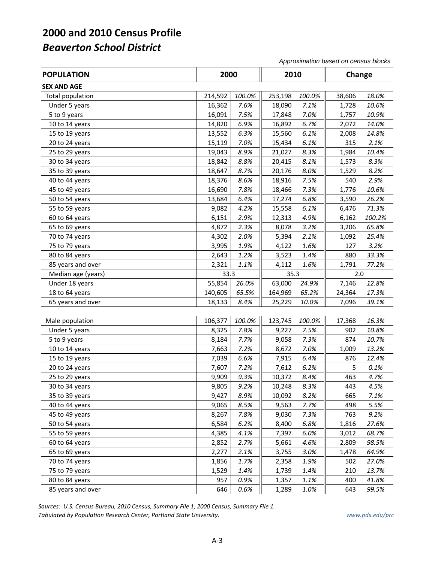*Approximation based on census blocks*

| <b>POPULATION</b>  | 2000    |        | 2010    |        | Change |        |
|--------------------|---------|--------|---------|--------|--------|--------|
| <b>SEX AND AGE</b> |         |        |         |        |        |        |
| Total population   | 214,592 | 100.0% | 253,198 | 100.0% | 38,606 | 18.0%  |
| Under 5 years      | 16,362  | 7.6%   | 18,090  | 7.1%   | 1,728  | 10.6%  |
| 5 to 9 years       | 16,091  | 7.5%   | 17,848  | 7.0%   | 1,757  | 10.9%  |
| 10 to 14 years     | 14,820  | 6.9%   | 16,892  | 6.7%   | 2,072  | 14.0%  |
| 15 to 19 years     | 13,552  | 6.3%   | 15,560  | 6.1%   | 2,008  | 14.8%  |
| 20 to 24 years     | 15,119  | 7.0%   | 15,434  | 6.1%   | 315    | 2.1%   |
| 25 to 29 years     | 19,043  | 8.9%   | 21,027  | 8.3%   | 1,984  | 10.4%  |
| 30 to 34 years     | 18,842  | 8.8%   | 20,415  | 8.1%   | 1,573  | 8.3%   |
| 35 to 39 years     | 18,647  | 8.7%   | 20,176  | 8.0%   | 1,529  | 8.2%   |
| 40 to 44 years     | 18,376  | 8.6%   | 18,916  | 7.5%   | 540    | 2.9%   |
| 45 to 49 years     | 16,690  | 7.8%   | 18,466  | 7.3%   | 1,776  | 10.6%  |
| 50 to 54 years     | 13,684  | 6.4%   | 17,274  | 6.8%   | 3,590  | 26.2%  |
| 55 to 59 years     | 9,082   | 4.2%   | 15,558  | 6.1%   | 6,476  | 71.3%  |
| 60 to 64 years     | 6,151   | 2.9%   | 12,313  | 4.9%   | 6,162  | 100.2% |
| 65 to 69 years     | 4,872   | 2.3%   | 8,078   | 3.2%   | 3,206  | 65.8%  |
| 70 to 74 years     | 4,302   | 2.0%   | 5,394   | 2.1%   | 1,092  | 25.4%  |
| 75 to 79 years     | 3,995   | 1.9%   | 4,122   | 1.6%   | 127    | 3.2%   |
| 80 to 84 years     | 2,643   | 1.2%   | 3,523   | 1.4%   | 880    | 33.3%  |
| 85 years and over  | 2,321   | 1.1%   | 4,112   | 1.6%   | 1,791  | 77.2%  |
| Median age (years) | 33.3    |        | 35.3    |        | 2.0    |        |
| Under 18 years     | 55,854  | 26.0%  | 63,000  | 24.9%  | 7,146  | 12.8%  |
| 18 to 64 years     | 140,605 | 65.5%  | 164,969 | 65.2%  | 24,364 | 17.3%  |
| 65 years and over  | 18,133  | 8.4%   | 25,229  | 10.0%  | 7,096  | 39.1%  |
|                    |         |        |         |        |        |        |
| Male population    | 106,377 | 100.0% | 123,745 | 100.0% | 17,368 | 16.3%  |
| Under 5 years      | 8,325   | 7.8%   | 9,227   | 7.5%   | 902    | 10.8%  |
| 5 to 9 years       | 8,184   | 7.7%   | 9,058   | 7.3%   | 874    | 10.7%  |
| 10 to 14 years     | 7,663   | 7.2%   | 8,672   | 7.0%   | 1,009  | 13.2%  |
| 15 to 19 years     | 7,039   | 6.6%   | 7,915   | 6.4%   | 876    | 12.4%  |
| 20 to 24 years     | 7,607   | 7.2%   | 7,612   | 6.2%   | 5      | 0.1%   |
| 25 to 29 years     | 9,909   | 9.3%   | 10,372  | 8.4%   | 463    | 4.7%   |
| 30 to 34 years     | 9,805   | 9.2%   | 10,248  | 8.3%   | 443    | 4.5%   |
| 35 to 39 years     | 9,427   | 8.9%   | 10,092  | 8.2%   | 665    | 7.1%   |
| 40 to 44 years     | 9,065   | 8.5%   | 9,563   | 7.7%   | 498    | 5.5%   |
| 45 to 49 years     | 8,267   | 7.8%   | 9,030   | 7.3%   | 763    | 9.2%   |
| 50 to 54 years     | 6,584   | 6.2%   | 8,400   | 6.8%   | 1,816  | 27.6%  |
| 55 to 59 years     | 4,385   | 4.1%   | 7,397   | 6.0%   | 3,012  | 68.7%  |
| 60 to 64 years     | 2,852   | 2.7%   | 5,661   | 4.6%   | 2,809  | 98.5%  |
| 65 to 69 years     | 2,277   | 2.1%   | 3,755   | 3.0%   | 1,478  | 64.9%  |
| 70 to 74 years     | 1,856   | 1.7%   | 2,358   | 1.9%   | 502    | 27.0%  |
| 75 to 79 years     | 1,529   | 1.4%   | 1,739   | 1.4%   | 210    | 13.7%  |
| 80 to 84 years     | 957     | 0.9%   | 1,357   | 1.1%   | 400    | 41.8%  |
| 85 years and over  | 646     | 0.6%   | 1,289   | 1.0%   | 643    | 99.5%  |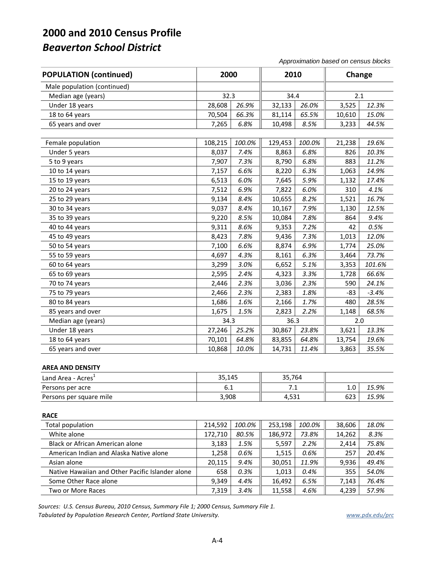*Approximation based on census blocks*

| <b>POPULATION (continued)</b>                    | 2000    |        | 2010    |        | Change |         |
|--------------------------------------------------|---------|--------|---------|--------|--------|---------|
| Male population (continued)                      |         |        |         |        |        |         |
| Median age (years)                               | 32.3    |        | 34.4    |        | 2.1    |         |
| Under 18 years                                   | 28,608  | 26.9%  | 32,133  | 26.0%  | 3,525  | 12.3%   |
| 18 to 64 years                                   | 70,504  | 66.3%  | 81,114  | 65.5%  | 10,610 | 15.0%   |
| 65 years and over                                | 7,265   | 6.8%   | 10,498  | 8.5%   | 3,233  | 44.5%   |
|                                                  |         |        |         |        |        |         |
| Female population                                | 108,215 | 100.0% | 129,453 | 100.0% | 21,238 | 19.6%   |
| Under 5 years                                    | 8,037   | 7.4%   | 8,863   | 6.8%   | 826    | 10.3%   |
| 5 to 9 years                                     | 7,907   | 7.3%   | 8,790   | 6.8%   | 883    | 11.2%   |
| 10 to 14 years                                   | 7,157   | 6.6%   | 8,220   | 6.3%   | 1,063  | 14.9%   |
| 15 to 19 years                                   | 6,513   | 6.0%   | 7,645   | 5.9%   | 1,132  | 17.4%   |
| 20 to 24 years                                   | 7,512   | 6.9%   | 7,822   | 6.0%   | 310    | 4.1%    |
| 25 to 29 years                                   | 9,134   | 8.4%   | 10,655  | 8.2%   | 1,521  | 16.7%   |
| 30 to 34 years                                   | 9,037   | 8.4%   | 10,167  | 7.9%   | 1,130  | 12.5%   |
| 35 to 39 years                                   | 9,220   | 8.5%   | 10,084  | 7.8%   | 864    | 9.4%    |
| 40 to 44 years                                   | 9,311   | 8.6%   | 9,353   | 7.2%   | 42     | 0.5%    |
| 45 to 49 years                                   | 8,423   | 7.8%   | 9,436   | 7.3%   | 1,013  | 12.0%   |
| 50 to 54 years                                   | 7,100   | 6.6%   | 8,874   | 6.9%   | 1,774  | 25.0%   |
| 55 to 59 years                                   | 4,697   | 4.3%   | 8,161   | 6.3%   | 3,464  | 73.7%   |
| 60 to 64 years                                   | 3,299   | 3.0%   | 6,652   | 5.1%   | 3,353  | 101.6%  |
| 65 to 69 years                                   | 2,595   | 2.4%   | 4,323   | 3.3%   | 1,728  | 66.6%   |
| 70 to 74 years                                   | 2,446   | 2.3%   | 3,036   | 2.3%   | 590    | 24.1%   |
| 75 to 79 years                                   | 2,466   | 2.3%   | 2,383   | 1.8%   | $-83$  | $-3.4%$ |
| 80 to 84 years                                   | 1,686   | 1.6%   | 2,166   | 1.7%   | 480    | 28.5%   |
| 85 years and over                                | 1,675   | 1.5%   | 2,823   | 2.2%   | 1,148  | 68.5%   |
| Median age (years)                               | 34.3    |        | 36.3    |        | 2.0    |         |
| Under 18 years                                   | 27,246  | 25.2%  | 30,867  | 23.8%  | 3,621  | 13.3%   |
| 18 to 64 years                                   | 70,101  | 64.8%  | 83,855  | 64.8%  | 13,754 | 19.6%   |
| 65 years and over                                | 10,868  | 10.0%  | 14,731  | 11.4%  | 3,863  | 35.5%   |
| <b>AREA AND DENSITY</b>                          |         |        |         |        |        |         |
| Land Area - Acres <sup>1</sup>                   | 35,145  |        | 35,764  |        |        |         |
| Persons per acre                                 | 6.1     |        | 7.1     |        | 1.0    | 15.9%   |
| Persons per square mile                          | 3,908   |        | 4,531   |        | 623    | 15.9%   |
| <b>RACE</b>                                      |         |        |         |        |        |         |
| Total population                                 | 214,592 | 100.0% | 253,198 | 100.0% | 38,606 | 18.0%   |
| White alone                                      | 172,710 | 80.5%  | 186,972 | 73.8%  | 14,262 | 8.3%    |
| <b>Black or African American alone</b>           | 3,183   | 1.5%   | 5,597   | 2.2%   | 2,414  | 75.8%   |
| American Indian and Alaska Native alone          | 1,258   | 0.6%   | 1,515   | 0.6%   | 257    | 20.4%   |
| Asian alone                                      | 20,115  | 9.4%   | 30,051  | 11.9%  | 9,936  | 49.4%   |
| Native Hawaiian and Other Pacific Islander alone | 658     | 0.3%   | 1,013   | 0.4%   | 355    | 54.0%   |
| Some Other Race alone                            | 9,349   | 4.4%   | 16,492  | 6.5%   | 7,143  | 76.4%   |
| Two or More Races                                | 7,319   | 3.4%   | 11,558  | 4.6%   | 4,239  | 57.9%   |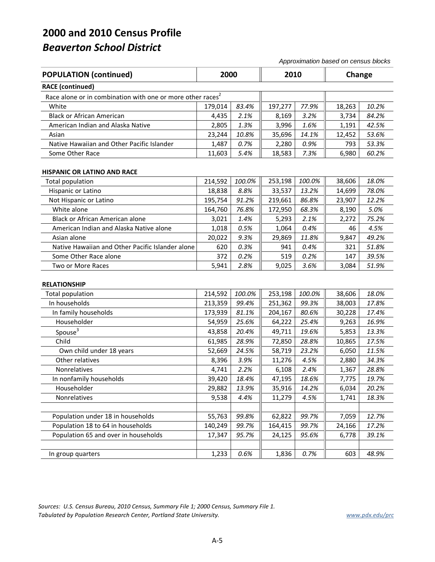*Approximation based on census blocks*

| <b>POPULATION (continued)</b>                                          | 2000    |        | 2010    |        | Change |       |
|------------------------------------------------------------------------|---------|--------|---------|--------|--------|-------|
| <b>RACE</b> (continued)                                                |         |        |         |        |        |       |
| Race alone or in combination with one or more other races <sup>2</sup> |         |        |         |        |        |       |
| White                                                                  | 179,014 | 83.4%  | 197,277 | 77.9%  | 18,263 | 10.2% |
| <b>Black or African American</b>                                       | 4,435   | 2.1%   | 8,169   | 3.2%   | 3,734  | 84.2% |
| American Indian and Alaska Native                                      | 2,805   | 1.3%   | 3,996   | 1.6%   | 1,191  | 42.5% |
| Asian                                                                  | 23,244  | 10.8%  | 35,696  | 14.1%  | 12,452 | 53.6% |
| Native Hawaiian and Other Pacific Islander                             | 1,487   | 0.7%   | 2,280   | 0.9%   | 793    | 53.3% |
| Some Other Race                                                        | 11,603  | 5.4%   | 18,583  | 7.3%   | 6,980  | 60.2% |
| <b>HISPANIC OR LATINO AND RACE</b>                                     |         |        |         |        |        |       |
| <b>Total population</b>                                                | 214,592 | 100.0% | 253,198 | 100.0% | 38,606 | 18.0% |
| Hispanic or Latino                                                     | 18,838  | 8.8%   | 33,537  | 13.2%  | 14,699 | 78.0% |
| Not Hispanic or Latino                                                 | 195,754 | 91.2%  | 219,661 | 86.8%  | 23,907 | 12.2% |
| White alone                                                            | 164,760 | 76.8%  | 172,950 | 68.3%  | 8,190  | 5.0%  |
| <b>Black or African American alone</b>                                 | 3,021   | 1.4%   | 5,293   | 2.1%   | 2,272  | 75.2% |
| American Indian and Alaska Native alone                                | 1,018   | 0.5%   | 1,064   | 0.4%   | 46     | 4.5%  |
| Asian alone                                                            | 20,022  | 9.3%   | 29,869  | 11.8%  | 9,847  | 49.2% |
| Native Hawaiian and Other Pacific Islander alone                       | 620     | 0.3%   | 941     | 0.4%   | 321    | 51.8% |
| Some Other Race alone                                                  | 372     | 0.2%   | 519     | 0.2%   | 147    | 39.5% |
| Two or More Races                                                      | 5,941   | 2.8%   | 9,025   | 3.6%   | 3,084  | 51.9% |
| <b>RELATIONSHIP</b>                                                    |         |        |         |        |        |       |
| <b>Total population</b>                                                | 214,592 | 100.0% | 253,198 | 100.0% | 38,606 | 18.0% |
| In households                                                          | 213,359 | 99.4%  | 251,362 | 99.3%  | 38,003 | 17.8% |
| In family households                                                   | 173,939 | 81.1%  | 204,167 | 80.6%  | 30,228 | 17.4% |
| Householder                                                            | 54,959  | 25.6%  | 64,222  | 25.4%  | 9,263  | 16.9% |
| Spouse <sup>3</sup>                                                    | 43,858  | 20.4%  | 49,711  | 19.6%  | 5,853  | 13.3% |
| Child                                                                  | 61,985  | 28.9%  | 72,850  | 28.8%  | 10,865 | 17.5% |
| Own child under 18 years                                               | 52,669  | 24.5%  | 58,719  | 23.2%  | 6,050  | 11.5% |
| Other relatives                                                        | 8,396   | 3.9%   | 11,276  | 4.5%   | 2,880  | 34.3% |
| Nonrelatives                                                           | 4,741   | 2.2%   | 6,108   | 2.4%   | 1,367  | 28.8% |
| In nonfamily households                                                | 39,420  | 18.4%  | 47,195  | 18.6%  | 7,775  | 19.7% |
| Householder                                                            | 29,882  | 13.9%  | 35,916  | 14.2%  | 6,034  | 20.2% |
| Nonrelatives                                                           | 9,538   | 4.4%   | 11,279  | 4.5%   | 1,741  | 18.3% |
|                                                                        |         |        |         |        |        |       |
| Population under 18 in households                                      | 55,763  | 99.8%  | 62,822  | 99.7%  | 7,059  | 12.7% |
| Population 18 to 64 in households                                      | 140,249 | 99.7%  | 164,415 | 99.7%  | 24,166 | 17.2% |
| Population 65 and over in households                                   | 17,347  | 95.7%  | 24,125  | 95.6%  | 6,778  | 39.1% |
|                                                                        |         |        |         |        |        |       |
| In group quarters                                                      | 1,233   | 0.6%   | 1,836   | 0.7%   | 603    | 48.9% |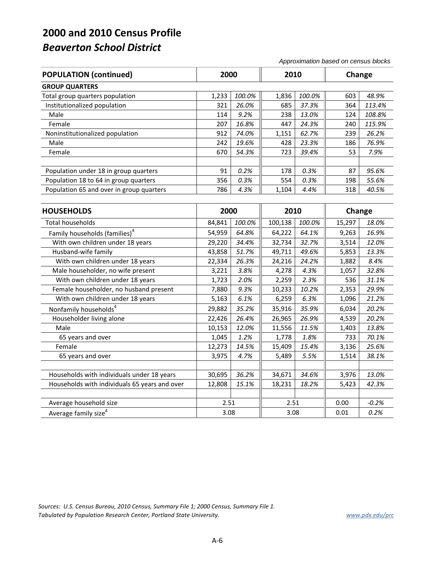*Approximation based on census blocks*

| <b>POPULATION (continued)</b>            | 2000  |        | 2010  |        | Change |        |
|------------------------------------------|-------|--------|-------|--------|--------|--------|
| <b>GROUP QUARTERS</b>                    |       |        |       |        |        |        |
| Total group quarters population          | 1.233 | 100.0% | 1,836 | 100.0% | 603    | 48.9%  |
| Institutionalized population             | 321   | 26.0%  | 685   | 37.3%  | 364    | 113.4% |
| Male                                     | 114   | 9.2%   | 238   | 13.0%  | 124    | 108.8% |
| Female                                   | 207   | 16.8%  | 447   | 24.3%  | 240    | 115.9% |
| Noninstitutionalized population          | 912   | 74.0%  | 1,151 | 62.7%  | 239    | 26.2%  |
| Male                                     | 242   | 19.6%  | 428   | 23.3%  | 186    | 76.9%  |
| Female                                   | 670   | 54.3%  | 723   | 39.4%  | 53     | 7.9%   |
|                                          |       |        |       |        |        |        |
| Population under 18 in group quarters    | 91    | 0.2%   | 178   | 0.3%   | 87     | 95.6%  |
| Population 18 to 64 in group quarters    | 356   | 0.3%   | 554   | 0.3%   | 198    | 55.6%  |
| Population 65 and over in group quarters | 786   | 4.3%   | 1,104 | 4.4%   | 318    | 40.5%  |

| <b>HOUSEHOLDS</b>                             | 2000   |        | 2010<br>Change |        |        |         |
|-----------------------------------------------|--------|--------|----------------|--------|--------|---------|
| Total households                              | 84,841 | 100.0% | 100,138        | 100.0% | 15,297 | 18.0%   |
| Family households (families) <sup>4</sup>     | 54,959 | 64.8%  | 64,222         | 64.1%  | 9,263  | 16.9%   |
| With own children under 18 years              | 29,220 | 34.4%  | 32,734         | 32.7%  | 3,514  | 12.0%   |
| Husband-wife family                           | 43,858 | 51.7%  | 49,711         | 49.6%  | 5,853  | 13.3%   |
| With own children under 18 years              | 22,334 | 26.3%  | 24,216         | 24.2%  | 1,882  | 8.4%    |
| Male householder, no wife present             | 3,221  | 3.8%   | 4,278          | 4.3%   | 1,057  | 32.8%   |
| With own children under 18 years              | 1,723  | 2.0%   | 2,259          | 2.3%   | 536    | 31.1%   |
| Female householder, no husband present        | 7,880  | 9.3%   | 10,233         | 10.2%  | 2,353  | 29.9%   |
| With own children under 18 years              | 5,163  | 6.1%   | 6,259          | 6.3%   | 1,096  | 21.2%   |
| Nonfamily households <sup>4</sup>             | 29,882 | 35.2%  | 35,916         | 35.9%  | 6,034  | 20.2%   |
| Householder living alone                      | 22,426 | 26.4%  | 26,965         | 26.9%  | 4,539  | 20.2%   |
| Male                                          | 10,153 | 12.0%  | 11,556         | 11.5%  | 1,403  | 13.8%   |
| 65 years and over                             | 1,045  | 1.2%   | 1,778          | 1.8%   | 733    | 70.1%   |
| Female                                        | 12,273 | 14.5%  | 15,409         | 15.4%  | 3,136  | 25.6%   |
| 65 years and over                             | 3,975  | 4.7%   | 5,489          | 5.5%   | 1,514  | 38.1%   |
|                                               |        |        |                |        |        |         |
| Households with individuals under 18 years    | 30,695 | 36.2%  | 34,671         | 34.6%  | 3,976  | 13.0%   |
| Households with individuals 65 years and over | 12,808 | 15.1%  | 18,231         | 18.2%  | 5,423  | 42.3%   |
|                                               |        |        |                |        |        |         |
| Average household size                        | 2.51   |        | 2.51           |        | 0.00   | $-0.2%$ |
| Average family size <sup>4</sup>              | 3.08   |        | 3.08           |        | 0.01   | 0.2%    |